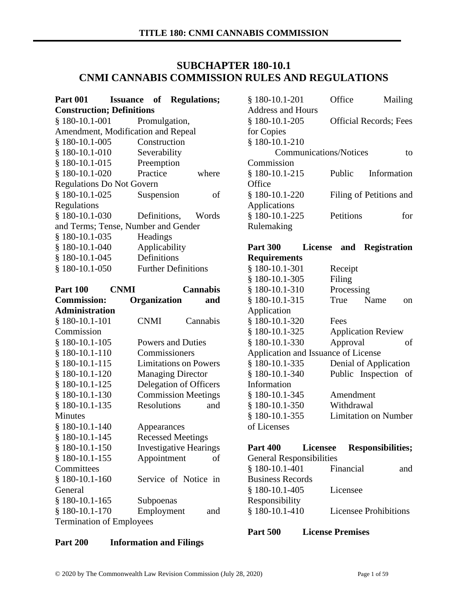# **SUBCHAPTER 180-10.1 CNMI CANNABIS COMMISSION RULES AND REGULATIONS**

| Part 001   Issuance of Regulations; |  |               |                            |       |
|-------------------------------------|--|---------------|----------------------------|-------|
| <b>Construction; Definitions</b>    |  |               |                            |       |
| $$180-10.1-001$                     |  | Promulgation, |                            |       |
| Amendment, Modification and Repeal  |  |               |                            |       |
| $$180-10.1-005$                     |  | Construction  |                            |       |
| $$180-10.1-010$                     |  | Severability  |                            |       |
| $$180-10.1-015$                     |  | Preemption    |                            |       |
| $$180-10.1-020$                     |  | Practice      |                            | where |
| <b>Regulations Do Not Govern</b>    |  |               |                            |       |
| $$180-10.1-025$                     |  | Suspension    |                            | of    |
| Regulations                         |  |               |                            |       |
| $$180-10.1-030$                     |  |               | Definitions, Words         |       |
| and Terms; Tense, Number and Gender |  |               |                            |       |
| $$180-10.1-035$                     |  | Headings      |                            |       |
| $$180-10.1-040$                     |  | Applicability |                            |       |
| § 180-10.1-045                      |  | Definitions   |                            |       |
| $$180-10.1-050$                     |  |               | <b>Further Definitions</b> |       |
|                                     |  |               |                            |       |

| <b>Part 100</b>                 | <b>CNMI</b> |                               |  | <b>Cannabis</b> |     |
|---------------------------------|-------------|-------------------------------|--|-----------------|-----|
| <b>Commission:</b>              |             | Organization                  |  |                 | and |
| <b>Administration</b>           |             |                               |  |                 |     |
| $§$ 180-10.1-101                |             | <b>CNMI</b>                   |  | Cannabis        |     |
| Commission                      |             |                               |  |                 |     |
| $$180-10.1-105$                 |             | Powers and Duties             |  |                 |     |
| $$180-10.1-110$                 |             | Commissioners                 |  |                 |     |
| § 180-10.1-115                  |             | <b>Limitations on Powers</b>  |  |                 |     |
| $$180-10.1-120$                 |             | <b>Managing Director</b>      |  |                 |     |
| $$180-10.1-125$                 |             | Delegation of Officers        |  |                 |     |
| $$180-10.1-130$                 |             | <b>Commission Meetings</b>    |  |                 |     |
| $§$ 180-10.1-135                |             | <b>Resolutions</b>            |  |                 | and |
| Minutes                         |             |                               |  |                 |     |
| $$180-10.1-140$                 |             | Appearances                   |  |                 |     |
| § 180-10.1-145                  |             | <b>Recessed Meetings</b>      |  |                 |     |
| $$180-10.1-150$                 |             | <b>Investigative Hearings</b> |  |                 |     |
| $$180-10.1-155$                 |             | Appointment                   |  |                 | of  |
| Committees                      |             |                               |  |                 |     |
| $$180-10.1-160$                 |             | Service of Notice in          |  |                 |     |
| General                         |             |                               |  |                 |     |
| $$180-10.1-165$                 |             | Subpoenas                     |  |                 |     |
| $$180-10.1-170$                 |             | Employment                    |  |                 | and |
| <b>Termination of Employees</b> |             |                               |  |                 |     |

| <b>Part 200</b> | <b>Information and Filings</b> |
|-----------------|--------------------------------|
|                 |                                |

| $$180-10.1-201$               | Office                         | Mailing     |
|-------------------------------|--------------------------------|-------------|
| Address and Hours             |                                |             |
| $$180-10.1-205$               | <b>Official Records</b> ; Fees |             |
| for Copies                    |                                |             |
| § 180-10.1-210                |                                |             |
| <b>Communications/Notices</b> |                                | tο          |
| Commission                    |                                |             |
| $$180-10.1-215$               | Public                         | Information |
| Office                        |                                |             |
| $$180-10.1-220$               | Filing of Petitions and        |             |
| Applications                  |                                |             |
| § 180-10.1-225                | Petitions                      | for         |
| Rulemaking                    |                                |             |
|                               |                                |             |

## **Part 300 License and Registration Requirements**

| § 180-10.1-301                      | Receipt                     |
|-------------------------------------|-----------------------------|
| § 180-10.1-305                      | Filing                      |
| $$180-10.1-310$                     | Processing                  |
| § 180-10.1-315                      | Name<br>True<br>on          |
| Application                         |                             |
| § 180-10.1-320                      | Fees                        |
| § 180-10.1-325                      | <b>Application Review</b>   |
| $$180-10.1-330$                     | Approval<br>οf              |
| Application and Issuance of License |                             |
| § 180-10.1-335                      | Denial of Application       |
| $$180-10.1-340$                     | Public Inspection of        |
| Information                         |                             |
| $$180-10.1-345$                     | Amendment                   |
| $$180-10.1-350$                     | Withdrawal                  |
| § 180-10.1-355                      | <b>Limitation on Number</b> |
| of Licenses                         |                             |

# **Part 400 Licensee Responsibilities;** General Responsibilities § 180-10.1-401 Financial and Business Records § 180-10.1-405 Licensee Responsibility § 180-10.1-410 Licensee Prohibitions

#### **Part 500 License Premises**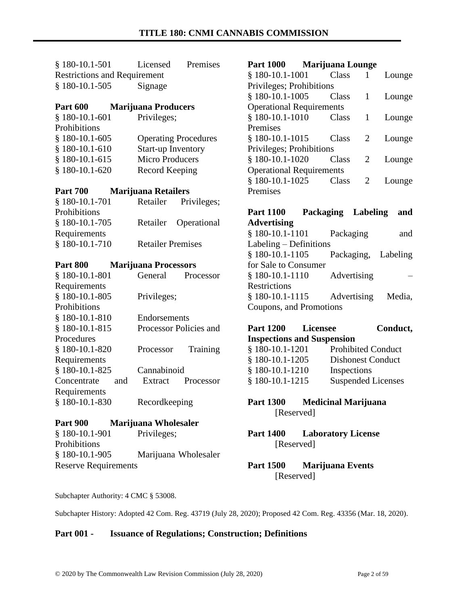| $$180-10.1-501$                     | Premises<br>Licensed                                |  |  |
|-------------------------------------|-----------------------------------------------------|--|--|
| <b>Restrictions and Requirement</b> |                                                     |  |  |
| $$180-10.1-505$                     | Signage                                             |  |  |
|                                     |                                                     |  |  |
| <b>Part 600</b>                     | <b>Marijuana Producers</b>                          |  |  |
| $$180-10.1-601$                     | Privileges;                                         |  |  |
| Prohibitions                        |                                                     |  |  |
| $$180-10.1-605$                     | <b>Operating Procedures</b>                         |  |  |
| $$180-10.1-610$                     | <b>Start-up Inventory</b>                           |  |  |
| $$180-10.1-615$                     | <b>Micro Producers</b>                              |  |  |
| $$180-10.1-620$                     | <b>Record Keeping</b>                               |  |  |
| <b>Part 700</b>                     | <b>Marijuana Retailers</b>                          |  |  |
| § 180-10.1-701                      | Privileges;<br>Retailer                             |  |  |
| Prohibitions                        |                                                     |  |  |
| $§$ 180-10.1-705                    | Operational<br>Retailer                             |  |  |
| Requirements                        |                                                     |  |  |
| § 180-10.1-710                      | <b>Retailer Premises</b>                            |  |  |
|                                     |                                                     |  |  |
|                                     |                                                     |  |  |
| <b>Part 800</b>                     |                                                     |  |  |
| $$180-10.1-801$                     | <b>Marijuana Processors</b><br>General<br>Processor |  |  |
| Requirements                        |                                                     |  |  |
| $$180-10.1-805$                     | Privileges;                                         |  |  |
| Prohibitions                        |                                                     |  |  |
| $§$ 180-10.1-810                    | Endorsements                                        |  |  |
| $$180-10.1-815$                     | Processor Policies and                              |  |  |
| Procedures                          |                                                     |  |  |
| $$180-10.1-820$                     | Training<br>Processor                               |  |  |
|                                     |                                                     |  |  |
| Requirements<br>$$180-10.1-825$     | Cannabinoid                                         |  |  |
| and<br>Concentrate                  | Extract<br>Processor                                |  |  |
| Requirements                        |                                                     |  |  |
| $$180-10.1-830$                     |                                                     |  |  |
|                                     | Recordkeeping                                       |  |  |
| <b>Part 900</b>                     | Marijuana Wholesaler                                |  |  |
| $§$ 180-10.1-901                    | Privileges;                                         |  |  |
| Prohibitions<br>$$180-10.1-905$     | Marijuana Wholesaler                                |  |  |

Reserve Requirements

#### **Part 1000 Marijuana Lounge**

| $$180-10.1-1001$                | Class |   | Lounge |
|---------------------------------|-------|---|--------|
| Privileges; Prohibitions        |       |   |        |
| $$180-10.1-1005$                | Class |   | Lounge |
| <b>Operational Requirements</b> |       |   |        |
| $$180-10.1-1010$                | Class |   | Lounge |
| Premises                        |       |   |        |
| $$180-10.1-1015$                | Class | 2 | Lounge |
| Privileges; Prohibitions        |       |   |        |
| $$180-10.1-1020$                | Class | 2 | Lounge |
| <b>Operational Requirements</b> |       |   |        |
| § 180-10.1-1025                 | Class | 2 | Lounge |
| Premises                        |       |   |        |

### **Part 1100 Packaging Labeling and Advertising** § 180-10.1-1101 Packaging and

Labeling – Definitions § 180-10.1-1105 Packaging, Labeling for Sale to Consumer § 180-10.1-1110 Advertising – **Restrictions** § 180-10.1-1115 Advertising Media, Coupons, and Promotions

# **Part 1200 Licensee Conduct, Inspections and Suspension** § 180-10.1-1201 Prohibited Conduct § 180-10.1-1205 Dishonest Conduct § 180-10.1-1210 Inspections § 180-10.1-1215 Suspended Licenses

**Part 1300 Medicinal Marijuana** [Reserved]

**Part 1400 Laboratory License** [Reserved]

# **Part 1500 Marijuana Events**  [Reserved]

Subchapter Authority: 4 CMC § 53008.

Subchapter History: Adopted 42 Com. Reg. 43719 (July 28, 2020); Proposed 42 Com. Reg. 43356 (Mar. 18, 2020).

### **Part 001 - Issuance of Regulations; Construction; Definitions**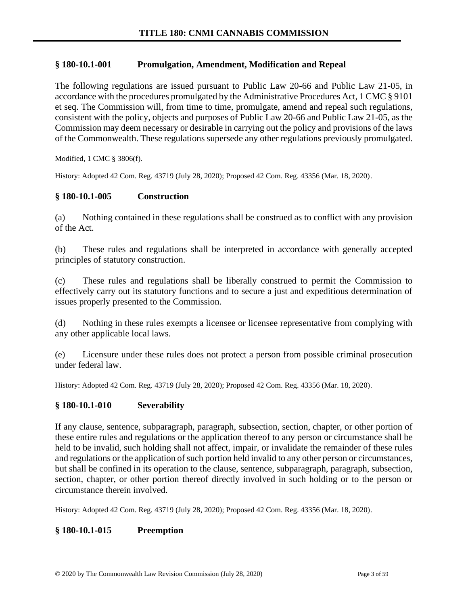## **§ 180-10.1-001 Promulgation, Amendment, Modification and Repeal**

The following regulations are issued pursuant to Public Law 20-66 and Public Law 21-05, in accordance with the procedures promulgated by the Administrative Procedures Act, 1 CMC § 9101 et seq. The Commission will, from time to time, promulgate, amend and repeal such regulations, consistent with the policy, objects and purposes of Public Law 20-66 and Public Law 21-05, as the Commission may deem necessary or desirable in carrying out the policy and provisions of the laws of the Commonwealth. These regulations supersede any other regulations previously promulgated.

Modified, 1 CMC § 3806(f).

History: Adopted 42 Com. Reg. 43719 (July 28, 2020); Proposed 42 Com. Reg. 43356 (Mar. 18, 2020).

# **§ 180-10.1-005 Construction**

(a) Nothing contained in these regulations shall be construed as to conflict with any provision of the Act.

(b) These rules and regulations shall be interpreted in accordance with generally accepted principles of statutory construction.

(c) These rules and regulations shall be liberally construed to permit the Commission to effectively carry out its statutory functions and to secure a just and expeditious determination of issues properly presented to the Commission.

(d) Nothing in these rules exempts a licensee or licensee representative from complying with any other applicable local laws.

(e) Licensure under these rules does not protect a person from possible criminal prosecution under federal law.

History: Adopted 42 Com. Reg. 43719 (July 28, 2020); Proposed 42 Com. Reg. 43356 (Mar. 18, 2020).

### **§ 180-10.1-010 Severability**

If any clause, sentence, subparagraph, paragraph, subsection, section, chapter, or other portion of these entire rules and regulations or the application thereof to any person or circumstance shall be held to be invalid, such holding shall not affect, impair, or invalidate the remainder of these rules and regulations or the application of such portion held invalid to any other person or circumstances, but shall be confined in its operation to the clause, sentence, subparagraph, paragraph, subsection, section, chapter, or other portion thereof directly involved in such holding or to the person or circumstance therein involved.

History: Adopted 42 Com. Reg. 43719 (July 28, 2020); Proposed 42 Com. Reg. 43356 (Mar. 18, 2020).

### **§ 180-10.1-015 Preemption**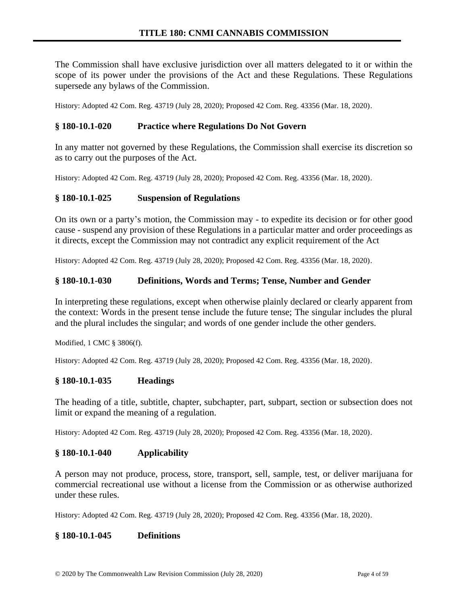The Commission shall have exclusive jurisdiction over all matters delegated to it or within the scope of its power under the provisions of the Act and these Regulations. These Regulations supersede any bylaws of the Commission.

History: Adopted 42 Com. Reg. 43719 (July 28, 2020); Proposed 42 Com. Reg. 43356 (Mar. 18, 2020).

### **§ 180-10.1-020 Practice where Regulations Do Not Govern**

In any matter not governed by these Regulations, the Commission shall exercise its discretion so as to carry out the purposes of the Act.

History: Adopted 42 Com. Reg. 43719 (July 28, 2020); Proposed 42 Com. Reg. 43356 (Mar. 18, 2020).

#### **§ 180-10.1-025 Suspension of Regulations**

On its own or a party's motion, the Commission may - to expedite its decision or for other good cause - suspend any provision of these Regulations in a particular matter and order proceedings as it directs, except the Commission may not contradict any explicit requirement of the Act

History: Adopted 42 Com. Reg. 43719 (July 28, 2020); Proposed 42 Com. Reg. 43356 (Mar. 18, 2020).

#### **§ 180-10.1-030 Definitions, Words and Terms; Tense, Number and Gender**

In interpreting these regulations, except when otherwise plainly declared or clearly apparent from the context: Words in the present tense include the future tense; The singular includes the plural and the plural includes the singular; and words of one gender include the other genders.

Modified, 1 CMC § 3806(f).

History: Adopted 42 Com. Reg. 43719 (July 28, 2020); Proposed 42 Com. Reg. 43356 (Mar. 18, 2020).

#### **§ 180-10.1-035 Headings**

The heading of a title, subtitle, chapter, subchapter, part, subpart, section or subsection does not limit or expand the meaning of a regulation.

History: Adopted 42 Com. Reg. 43719 (July 28, 2020); Proposed 42 Com. Reg. 43356 (Mar. 18, 2020).

#### **§ 180-10.1-040 Applicability**

A person may not produce, process, store, transport, sell, sample, test, or deliver marijuana for commercial recreational use without a license from the Commission or as otherwise authorized under these rules.

History: Adopted 42 Com. Reg. 43719 (July 28, 2020); Proposed 42 Com. Reg. 43356 (Mar. 18, 2020).

#### **§ 180-10.1-045 Definitions**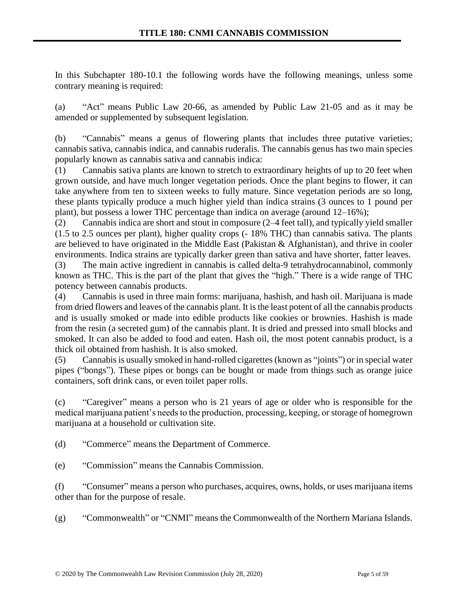In this Subchapter 180-10.1 the following words have the following meanings, unless some contrary meaning is required:

(a) "Act" means Public Law 20-66, as amended by Public Law 21-05 and as it may be amended or supplemented by subsequent legislation.

(b) "Cannabis" means a genus of flowering plants that includes three putative varieties; cannabis sativa, cannabis indica, and cannabis ruderalis. The cannabis genus has two main species popularly known as cannabis sativa and cannabis indica:

(1) Cannabis sativa plants are known to stretch to extraordinary heights of up to 20 feet when grown outside, and have much longer vegetation periods. Once the plant begins to flower, it can take anywhere from ten to sixteen weeks to fully mature. Since vegetation periods are so long, these plants typically produce a much higher yield than indica strains (3 ounces to 1 pound per plant), but possess a lower THC percentage than indica on average (around 12–16%);

(2) Cannabis indica are short and stout in composure (2–4 feet tall), and typically yield smaller (1.5 to 2.5 ounces per plant), higher quality crops (- 18% THC) than cannabis sativa. The plants are believed to have originated in the Middle East (Pakistan & Afghanistan), and thrive in cooler environments. Indica strains are typically darker green than sativa and have shorter, fatter leaves.

(3) The main active ingredient in cannabis is called delta-9 tetrahydrocannabinol, commonly known as THC. This is the part of the plant that gives the "high." There is a wide range of THC potency between cannabis products.

(4) Cannabis is used in three main forms: marijuana, hashish, and hash oil. Marijuana is made from dried flowers and leaves of the cannabis plant. It is the least potent of all the cannabis products and is usually smoked or made into edible products like cookies or brownies. Hashish is made from the resin (a secreted gum) of the cannabis plant. It is dried and pressed into small blocks and smoked. It can also be added to food and eaten. Hash oil, the most potent cannabis product, is a thick oil obtained from hashish. It is also smoked.

(5) Cannabis is usually smoked in hand-rolled cigarettes (known as "joints") or in special water pipes ("bongs"). These pipes or bongs can be bought or made from things such as orange juice containers, soft drink cans, or even toilet paper rolls.

(c) "Caregiver" means a person who is 21 years of age or older who is responsible for the medical marijuana patient's needs to the production, processing, keeping, or storage of homegrown marijuana at a household or cultivation site.

(d) "Commerce" means the Department of Commerce.

(e) "Commission" means the Cannabis Commission.

(f) "Consumer" means a person who purchases, acquires, owns, holds, or uses marijuana items other than for the purpose of resale.

(g) "Commonwealth" or "CNMI" means the Commonwealth of the Northern Mariana Islands.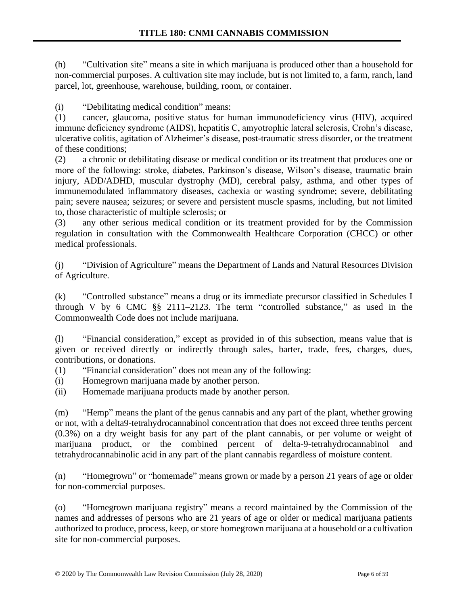(h) "Cultivation site" means a site in which marijuana is produced other than a household for non-commercial purposes. A cultivation site may include, but is not limited to, a farm, ranch, land parcel, lot, greenhouse, warehouse, building, room, or container.

(i) "Debilitating medical condition" means:

(1) cancer, glaucoma, positive status for human immunodeficiency virus (HIV), acquired immune deficiency syndrome (AIDS), hepatitis C, amyotrophic lateral sclerosis, Crohn's disease, ulcerative colitis, agitation of Alzheimer's disease, post-traumatic stress disorder, or the treatment of these conditions;

(2) a chronic or debilitating disease or medical condition or its treatment that produces one or more of the following: stroke, diabetes, Parkinson's disease, Wilson's disease, traumatic brain injury, ADD/ADHD, muscular dystrophy (MD), cerebral palsy, asthma, and other types of immunemodulated inflammatory diseases, cachexia or wasting syndrome; severe, debilitating pain; severe nausea; seizures; or severe and persistent muscle spasms, including, but not limited to, those characteristic of multiple sclerosis; or

(3) any other serious medical condition or its treatment provided for by the Commission regulation in consultation with the Commonwealth Healthcare Corporation (CHCC) or other medical professionals.

(j) "Division of Agriculture" means the Department of Lands and Natural Resources Division of Agriculture.

(k) "Controlled substance" means a drug or its immediate precursor classified in Schedules I through V by 6 CMC §§ 2111–2123. The term "controlled substance," as used in the Commonwealth Code does not include marijuana.

(l) "Financial consideration," except as provided in of this subsection, means value that is given or received directly or indirectly through sales, barter, trade, fees, charges, dues, contributions, or donations.

- (1) "Financial consideration" does not mean any of the following:
- (i) Homegrown marijuana made by another person.
- (ii) Homemade marijuana products made by another person.

(m) "Hemp" means the plant of the genus cannabis and any part of the plant, whether growing or not, with a delta9-tetrahydrocannabinol concentration that does not exceed three tenths percent (0.3%) on a dry weight basis for any part of the plant cannabis, or per volume or weight of marijuana product, or the combined percent of delta-9-tetrahydrocannabinol and tetrahydrocannabinolic acid in any part of the plant cannabis regardless of moisture content.

(n) "Homegrown" or "homemade" means grown or made by a person 21 years of age or older for non-commercial purposes.

(o) "Homegrown marijuana registry" means a record maintained by the Commission of the names and addresses of persons who are 21 years of age or older or medical marijuana patients authorized to produce, process, keep, or store homegrown marijuana at a household or a cultivation site for non-commercial purposes.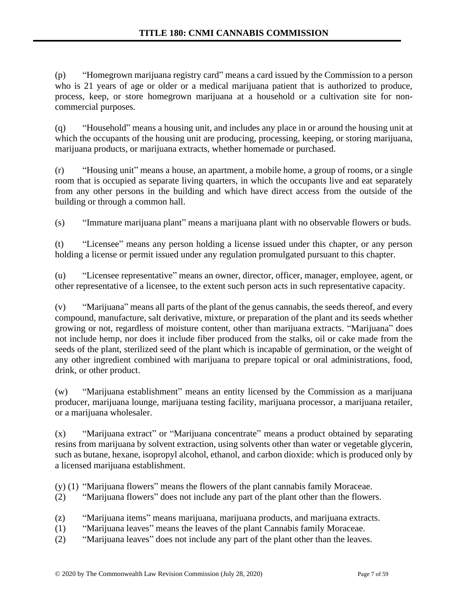(p) "Homegrown marijuana registry card" means a card issued by the Commission to a person who is 21 years of age or older or a medical marijuana patient that is authorized to produce, process, keep, or store homegrown marijuana at a household or a cultivation site for noncommercial purposes.

(q) "Household" means a housing unit, and includes any place in or around the housing unit at which the occupants of the housing unit are producing, processing, keeping, or storing marijuana, marijuana products, or marijuana extracts, whether homemade or purchased.

(r) "Housing unit" means a house, an apartment, a mobile home, a group of rooms, or a single room that is occupied as separate living quarters, in which the occupants live and eat separately from any other persons in the building and which have direct access from the outside of the building or through a common hall.

(s) "Immature marijuana plant" means a marijuana plant with no observable flowers or buds.

(t) "Licensee" means any person holding a license issued under this chapter, or any person holding a license or permit issued under any regulation promulgated pursuant to this chapter.

(u) "Licensee representative" means an owner, director, officer, manager, employee, agent, or other representative of a licensee, to the extent such person acts in such representative capacity.

(v) "Marijuana" means all parts of the plant of the genus cannabis, the seeds thereof, and every compound, manufacture, salt derivative, mixture, or preparation of the plant and its seeds whether growing or not, regardless of moisture content, other than marijuana extracts. "Marijuana" does not include hemp, nor does it include fiber produced from the stalks, oil or cake made from the seeds of the plant, sterilized seed of the plant which is incapable of germination, or the weight of any other ingredient combined with marijuana to prepare topical or oral administrations, food, drink, or other product.

(w) "Marijuana establishment" means an entity licensed by the Commission as a marijuana producer, marijuana lounge, marijuana testing facility, marijuana processor, a marijuana retailer, or a marijuana wholesaler.

(x) "Marijuana extract" or "Marijuana concentrate" means a product obtained by separating resins from marijuana by solvent extraction, using solvents other than water or vegetable glycerin, such as butane, hexane, isopropyl alcohol, ethanol, and carbon dioxide: which is produced only by a licensed marijuana establishment.

(y) (1) "Marijuana flowers" means the flowers of the plant cannabis family Moraceae.

- (2) "Marijuana flowers" does not include any part of the plant other than the flowers.
- (z) "Marijuana items" means marijuana, marijuana products, and marijuana extracts.
- (1) "Marijuana leaves" means the leaves of the plant Cannabis family Moraceae.
- (2) "Marijuana leaves" does not include any part of the plant other than the leaves.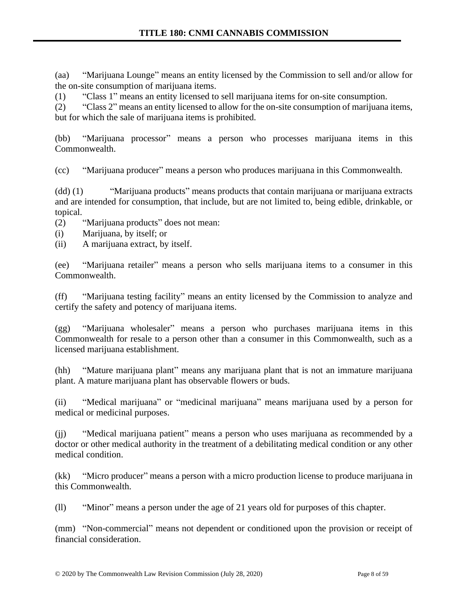(aa) "Marijuana Lounge" means an entity licensed by the Commission to sell and/or allow for the on-site consumption of marijuana items.

(1) "Class 1" means an entity licensed to sell marijuana items for on-site consumption.

(2) "Class 2" means an entity licensed to allow for the on-site consumption of marijuana items, but for which the sale of marijuana items is prohibited.

(bb) "Marijuana processor" means a person who processes marijuana items in this Commonwealth.

(cc) "Marijuana producer" means a person who produces marijuana in this Commonwealth.

(dd) (1) "Marijuana products" means products that contain marijuana or marijuana extracts and are intended for consumption, that include, but are not limited to, being edible, drinkable, or topical.

(2) "Marijuana products" does not mean:

- (i) Marijuana, by itself; or
- (ii) A marijuana extract, by itself.

(ee) "Marijuana retailer" means a person who sells marijuana items to a consumer in this Commonwealth.

(ff) "Marijuana testing facility" means an entity licensed by the Commission to analyze and certify the safety and potency of marijuana items.

(gg) "Marijuana wholesaler" means a person who purchases marijuana items in this Commonwealth for resale to a person other than a consumer in this Commonwealth, such as a licensed marijuana establishment.

(hh) "Mature marijuana plant" means any marijuana plant that is not an immature marijuana plant. A mature marijuana plant has observable flowers or buds.

(ii) "Medical marijuana" or "medicinal marijuana" means marijuana used by a person for medical or medicinal purposes.

(jj) "Medical marijuana patient" means a person who uses marijuana as recommended by a doctor or other medical authority in the treatment of a debilitating medical condition or any other medical condition.

(kk) "Micro producer" means a person with a micro production license to produce marijuana in this Commonwealth.

(ll) "Minor" means a person under the age of 21 years old for purposes of this chapter.

(mm) "Non-commercial" means not dependent or conditioned upon the provision or receipt of financial consideration.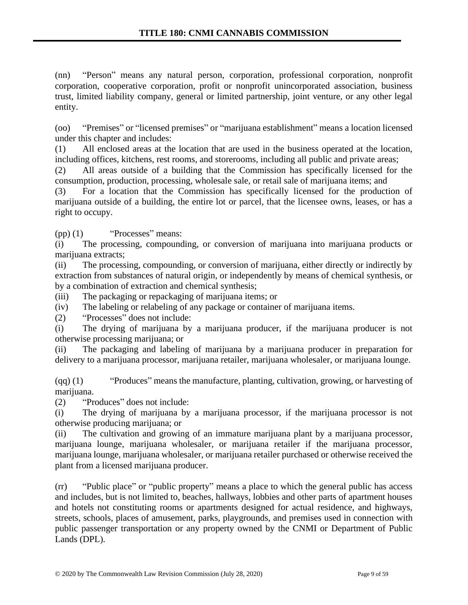(nn) "Person" means any natural person, corporation, professional corporation, nonprofit corporation, cooperative corporation, profit or nonprofit unincorporated association, business trust, limited liability company, general or limited partnership, joint venture, or any other legal entity.

(oo) "Premises" or "licensed premises" or "marijuana establishment" means a location licensed under this chapter and includes:

(1) All enclosed areas at the location that are used in the business operated at the location, including offices, kitchens, rest rooms, and storerooms, including all public and private areas;

(2) All areas outside of a building that the Commission has specifically licensed for the consumption, production, processing, wholesale sale, or retail sale of marijuana items; and

(3) For a location that the Commission has specifically licensed for the production of marijuana outside of a building, the entire lot or parcel, that the licensee owns, leases, or has a right to occupy.

(pp) (1) "Processes" means:

(i) The processing, compounding, or conversion of marijuana into marijuana products or marijuana extracts;

(ii) The processing, compounding, or conversion of marijuana, either directly or indirectly by extraction from substances of natural origin, or independently by means of chemical synthesis, or by a combination of extraction and chemical synthesis;

(iii) The packaging or repackaging of marijuana items; or

(iv) The labeling or relabeling of any package or container of marijuana items.

(2) "Processes" does not include:

(i) The drying of marijuana by a marijuana producer, if the marijuana producer is not otherwise processing marijuana; or

(ii) The packaging and labeling of marijuana by a marijuana producer in preparation for delivery to a marijuana processor, marijuana retailer, marijuana wholesaler, or marijuana lounge.

(qq) (1) "Produces" means the manufacture, planting, cultivation, growing, or harvesting of marijuana.

(2) "Produces" does not include:

(i) The drying of marijuana by a marijuana processor, if the marijuana processor is not otherwise producing marijuana; or

(ii) The cultivation and growing of an immature marijuana plant by a marijuana processor, marijuana lounge, marijuana wholesaler, or marijuana retailer if the marijuana processor, marijuana lounge, marijuana wholesaler, or marijuana retailer purchased or otherwise received the plant from a licensed marijuana producer.

(rr) "Public place" or "public property" means a place to which the general public has access and includes, but is not limited to, beaches, hallways, lobbies and other parts of apartment houses and hotels not constituting rooms or apartments designed for actual residence, and highways, streets, schools, places of amusement, parks, playgrounds, and premises used in connection with public passenger transportation or any property owned by the CNMI or Department of Public Lands (DPL).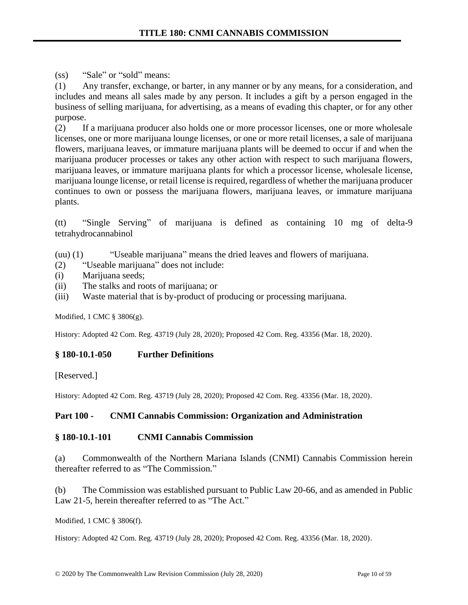(ss) "Sale" or "sold" means:

(1) Any transfer, exchange, or barter, in any manner or by any means, for a consideration, and includes and means all sales made by any person. It includes a gift by a person engaged in the business of selling marijuana, for advertising, as a means of evading this chapter, or for any other purpose.

(2) If a marijuana producer also holds one or more processor licenses, one or more wholesale licenses, one or more marijuana lounge licenses, or one or more retail licenses, a sale of marijuana flowers, marijuana leaves, or immature marijuana plants will be deemed to occur if and when the marijuana producer processes or takes any other action with respect to such marijuana flowers, marijuana leaves, or immature marijuana plants for which a processor license, wholesale license, marijuana lounge license, or retail license is required, regardless of whether the marijuana producer continues to own or possess the marijuana flowers, marijuana leaves, or immature marijuana plants.

(tt) "Single Serving" of marijuana is defined as containing 10 mg of delta-9 tetrahydrocannabinol

(uu) (1) "Useable marijuana" means the dried leaves and flowers of marijuana.

- (2) "Useable marijuana" does not include:
- (i) Marijuana seeds;
- (ii) The stalks and roots of marijuana; or
- (iii) Waste material that is by-product of producing or processing marijuana.

Modified, 1 CMC § 3806(g).

History: Adopted 42 Com. Reg. 43719 (July 28, 2020); Proposed 42 Com. Reg. 43356 (Mar. 18, 2020).

### **§ 180-10.1-050 Further Definitions**

[Reserved.]

History: Adopted 42 Com. Reg. 43719 (July 28, 2020); Proposed 42 Com. Reg. 43356 (Mar. 18, 2020).

### **Part 100 - CNMI Cannabis Commission: Organization and Administration**

### **§ 180-10.1-101 CNMI Cannabis Commission**

(a) Commonwealth of the Northern Mariana Islands (CNMI) Cannabis Commission herein thereafter referred to as "The Commission."

(b) The Commission was established pursuant to Public Law 20-66, and as amended in Public Law 21-5, herein thereafter referred to as "The Act."

Modified, 1 CMC § 3806(f).

History: Adopted 42 Com. Reg. 43719 (July 28, 2020); Proposed 42 Com. Reg. 43356 (Mar. 18, 2020).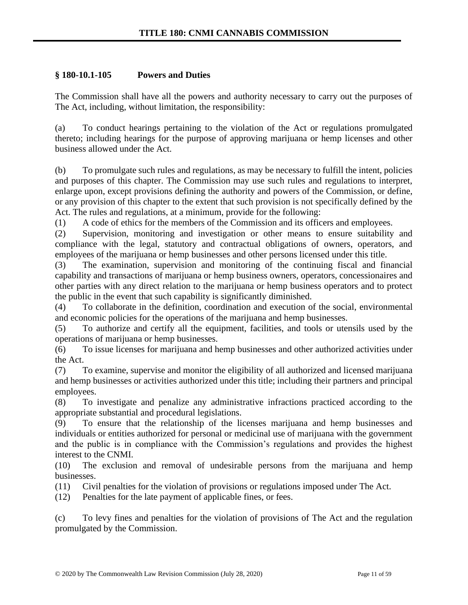## **§ 180-10.1-105 Powers and Duties**

The Commission shall have all the powers and authority necessary to carry out the purposes of The Act, including, without limitation, the responsibility:

(a) To conduct hearings pertaining to the violation of the Act or regulations promulgated thereto; including hearings for the purpose of approving marijuana or hemp licenses and other business allowed under the Act.

(b) To promulgate such rules and regulations, as may be necessary to fulfill the intent, policies and purposes of this chapter. The Commission may use such rules and regulations to interpret, enlarge upon, except provisions defining the authority and powers of the Commission, or define, or any provision of this chapter to the extent that such provision is not specifically defined by the Act. The rules and regulations, at a minimum, provide for the following:

(1) A code of ethics for the members of the Commission and its officers and employees.

(2) Supervision, monitoring and investigation or other means to ensure suitability and compliance with the legal, statutory and contractual obligations of owners, operators, and employees of the marijuana or hemp businesses and other persons licensed under this title.

(3) The examination, supervision and monitoring of the continuing fiscal and financial capability and transactions of marijuana or hemp business owners, operators, concessionaires and other parties with any direct relation to the marijuana or hemp business operators and to protect the public in the event that such capability is significantly diminished.

(4) To collaborate in the definition, coordination and execution of the social, environmental and economic policies for the operations of the marijuana and hemp businesses.

(5) To authorize and certify all the equipment, facilities, and tools or utensils used by the operations of marijuana or hemp businesses.

(6) To issue licenses for marijuana and hemp businesses and other authorized activities under the Act.

(7) To examine, supervise and monitor the eligibility of all authorized and licensed marijuana and hemp businesses or activities authorized under this title; including their partners and principal employees.

(8) To investigate and penalize any administrative infractions practiced according to the appropriate substantial and procedural legislations.

(9) To ensure that the relationship of the licenses marijuana and hemp businesses and individuals or entities authorized for personal or medicinal use of marijuana with the government and the public is in compliance with the Commission's regulations and provides the highest interest to the CNMI.

(10) The exclusion and removal of undesirable persons from the marijuana and hemp businesses.

(11) Civil penalties for the violation of provisions or regulations imposed under The Act.

(12) Penalties for the late payment of applicable fines, or fees.

(c) To levy fines and penalties for the violation of provisions of The Act and the regulation promulgated by the Commission.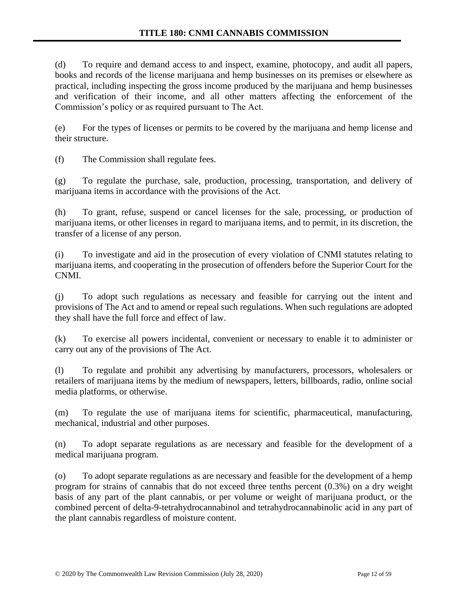(d) To require and demand access to and inspect, examine, photocopy, and audit all papers, books and records of the license marijuana and hemp businesses on its premises or elsewhere as practical, including inspecting the gross income produced by the marijuana and hemp businesses and verification of their income, and all other matters affecting the enforcement of the Commission's policy or as required pursuant to The Act.

(e) For the types of licenses or permits to be covered by the marijuana and hemp license and their structure.

(f) The Commission shall regulate fees.

(g) To regulate the purchase, sale, production, processing, transportation, and delivery of marijuana items in accordance with the provisions of the Act.

(h) To grant, refuse, suspend or cancel licenses for the sale, processing, or production of marijuana items, or other licenses in regard to marijuana items, and to permit, in its discretion, the transfer of a license of any person.

(i) To investigate and aid in the prosecution of every violation of CNMI statutes relating to marijuana items, and cooperating in the prosecution of offenders before the Superior Court for the CNMI.

(j) To adopt such regulations as necessary and feasible for carrying out the intent and provisions of The Act and to amend or repeal such regulations. When such regulations are adopted they shall have the full force and effect of law.

(k) To exercise all powers incidental, convenient or necessary to enable it to administer or carry out any of the provisions of The Act.

(l) To regulate and prohibit any advertising by manufacturers, processors, wholesalers or retailers of marijuana items by the medium of newspapers, letters, billboards, radio, online social media platforms, or otherwise.

(m) To regulate the use of marijuana items for scientific, pharmaceutical, manufacturing, mechanical, industrial and other purposes.

(n) To adopt separate regulations as are necessary and feasible for the development of a medical marijuana program.

(o) To adopt separate regulations as are necessary and feasible for the development of a hemp program for strains of cannabis that do not exceed three tenths percent (0.3%) on a dry weight basis of any part of the plant cannabis, or per volume or weight of marijuana product, or the combined percent of delta-9-tetrahydrocannabinol and tetrahydrocannabinolic acid in any part of the plant cannabis regardless of moisture content.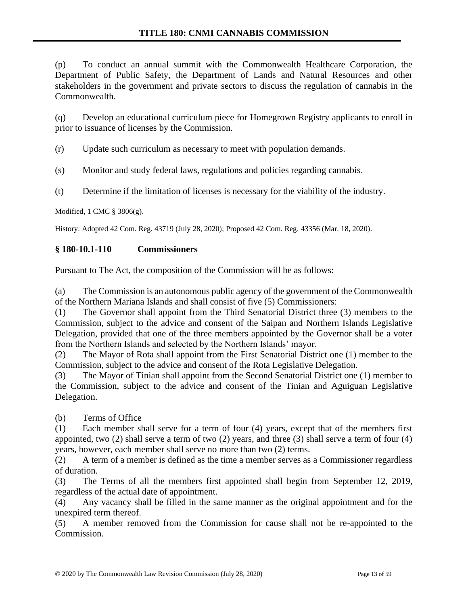(p) To conduct an annual summit with the Commonwealth Healthcare Corporation, the Department of Public Safety, the Department of Lands and Natural Resources and other stakeholders in the government and private sectors to discuss the regulation of cannabis in the Commonwealth.

(q) Develop an educational curriculum piece for Homegrown Registry applicants to enroll in prior to issuance of licenses by the Commission.

(r) Update such curriculum as necessary to meet with population demands.

(s) Monitor and study federal laws, regulations and policies regarding cannabis.

(t) Determine if the limitation of licenses is necessary for the viability of the industry.

Modified, 1 CMC § 3806(g).

History: Adopted 42 Com. Reg. 43719 (July 28, 2020); Proposed 42 Com. Reg. 43356 (Mar. 18, 2020).

## **§ 180-10.1-110 Commissioners**

Pursuant to The Act, the composition of the Commission will be as follows:

(a) The Commission is an autonomous public agency of the government of the Commonwealth of the Northern Mariana Islands and shall consist of five (5) Commissioners:

(1) The Governor shall appoint from the Third Senatorial District three (3) members to the Commission, subject to the advice and consent of the Saipan and Northern Islands Legislative Delegation, provided that one of the three members appointed by the Governor shall be a voter from the Northern Islands and selected by the Northern Islands' mayor.

(2) The Mayor of Rota shall appoint from the First Senatorial District one (1) member to the Commission, subject to the advice and consent of the Rota Legislative Delegation.

(3) The Mayor of Tinian shall appoint from the Second Senatorial District one (1) member to the Commission, subject to the advice and consent of the Tinian and Aguiguan Legislative Delegation.

(b) Terms of Office

(1) Each member shall serve for a term of four (4) years, except that of the members first appointed, two (2) shall serve a term of two (2) years, and three (3) shall serve a term of four (4) years, however, each member shall serve no more than two (2) terms.

(2) A term of a member is defined as the time a member serves as a Commissioner regardless of duration.

(3) The Terms of all the members first appointed shall begin from September 12, 2019, regardless of the actual date of appointment.

(4) Any vacancy shall be filled in the same manner as the original appointment and for the unexpired term thereof.

(5) A member removed from the Commission for cause shall not be re-appointed to the Commission.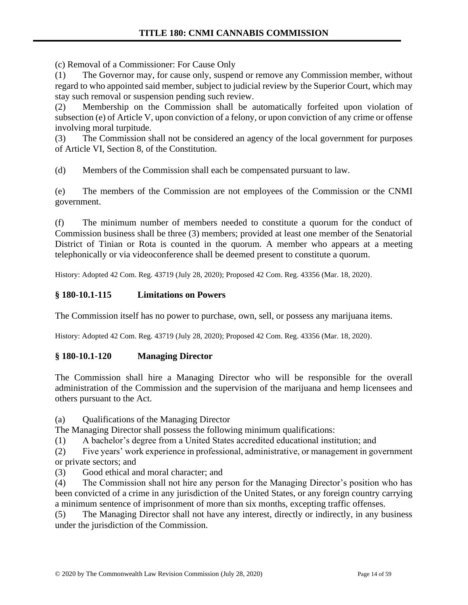(c) Removal of a Commissioner: For Cause Only

(1) The Governor may, for cause only, suspend or remove any Commission member, without regard to who appointed said member, subject to judicial review by the Superior Court, which may stay such removal or suspension pending such review.

(2) Membership on the Commission shall be automatically forfeited upon violation of subsection (e) of Article V, upon conviction of a felony, or upon conviction of any crime or offense involving moral turpitude.

(3) The Commission shall not be considered an agency of the local government for purposes of Article VI, Section 8, of the Constitution.

(d) Members of the Commission shall each be compensated pursuant to law.

(e) The members of the Commission are not employees of the Commission or the CNMI government.

(f) The minimum number of members needed to constitute a quorum for the conduct of Commission business shall be three (3) members; provided at least one member of the Senatorial District of Tinian or Rota is counted in the quorum. A member who appears at a meeting telephonically or via videoconference shall be deemed present to constitute a quorum.

History: Adopted 42 Com. Reg. 43719 (July 28, 2020); Proposed 42 Com. Reg. 43356 (Mar. 18, 2020).

# **§ 180-10.1-115 Limitations on Powers**

The Commission itself has no power to purchase, own, sell, or possess any marijuana items.

History: Adopted 42 Com. Reg. 43719 (July 28, 2020); Proposed 42 Com. Reg. 43356 (Mar. 18, 2020).

### **§ 180-10.1-120 Managing Director**

The Commission shall hire a Managing Director who will be responsible for the overall administration of the Commission and the supervision of the marijuana and hemp licensees and others pursuant to the Act.

(a) Qualifications of the Managing Director

The Managing Director shall possess the following minimum qualifications:

(1) A bachelor's degree from a United States accredited educational institution; and

(2) Five years' work experience in professional, administrative, or management in government or private sectors; and

(3) Good ethical and moral character; and

(4) The Commission shall not hire any person for the Managing Director's position who has been convicted of a crime in any jurisdiction of the United States, or any foreign country carrying a minimum sentence of imprisonment of more than six months, excepting traffic offenses.

(5) The Managing Director shall not have any interest, directly or indirectly, in any business under the jurisdiction of the Commission.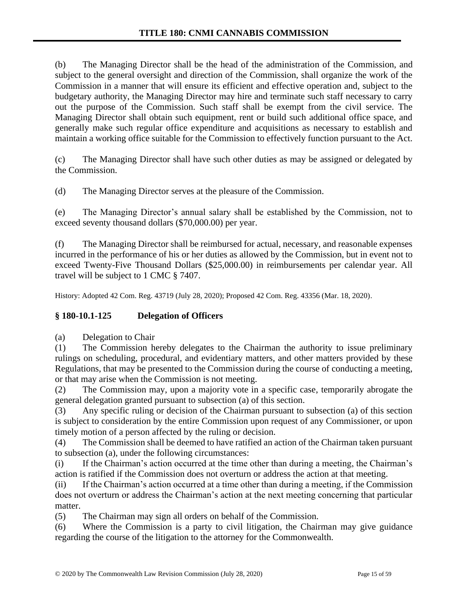(b) The Managing Director shall be the head of the administration of the Commission, and subject to the general oversight and direction of the Commission, shall organize the work of the Commission in a manner that will ensure its efficient and effective operation and, subject to the budgetary authority, the Managing Director may hire and terminate such staff necessary to carry out the purpose of the Commission. Such staff shall be exempt from the civil service. The Managing Director shall obtain such equipment, rent or build such additional office space, and generally make such regular office expenditure and acquisitions as necessary to establish and maintain a working office suitable for the Commission to effectively function pursuant to the Act.

(c) The Managing Director shall have such other duties as may be assigned or delegated by the Commission.

(d) The Managing Director serves at the pleasure of the Commission.

(e) The Managing Director's annual salary shall be established by the Commission, not to exceed seventy thousand dollars (\$70,000.00) per year.

(f) The Managing Director shall be reimbursed for actual, necessary, and reasonable expenses incurred in the performance of his or her duties as allowed by the Commission, but in event not to exceed Twenty-Five Thousand Dollars (\$25,000.00) in reimbursements per calendar year. All travel will be subject to 1 CMC § 7407.

History: Adopted 42 Com. Reg. 43719 (July 28, 2020); Proposed 42 Com. Reg. 43356 (Mar. 18, 2020).

### **§ 180-10.1-125 Delegation of Officers**

(a) Delegation to Chair

(1) The Commission hereby delegates to the Chairman the authority to issue preliminary rulings on scheduling, procedural, and evidentiary matters, and other matters provided by these Regulations, that may be presented to the Commission during the course of conducting a meeting, or that may arise when the Commission is not meeting.

(2) The Commission may, upon a majority vote in a specific case, temporarily abrogate the general delegation granted pursuant to subsection (a) of this section.

(3) Any specific ruling or decision of the Chairman pursuant to subsection (a) of this section is subject to consideration by the entire Commission upon request of any Commissioner, or upon timely motion of a person affected by the ruling or decision.

(4) The Commission shall be deemed to have ratified an action of the Chairman taken pursuant to subsection (a), under the following circumstances:

(i) If the Chairman's action occurred at the time other than during a meeting, the Chairman's action is ratified if the Commission does not overturn or address the action at that meeting.

(ii) If the Chairman's action occurred at a time other than during a meeting, if the Commission does not overturn or address the Chairman's action at the next meeting concerning that particular matter.

(5) The Chairman may sign all orders on behalf of the Commission.

(6) Where the Commission is a party to civil litigation, the Chairman may give guidance regarding the course of the litigation to the attorney for the Commonwealth.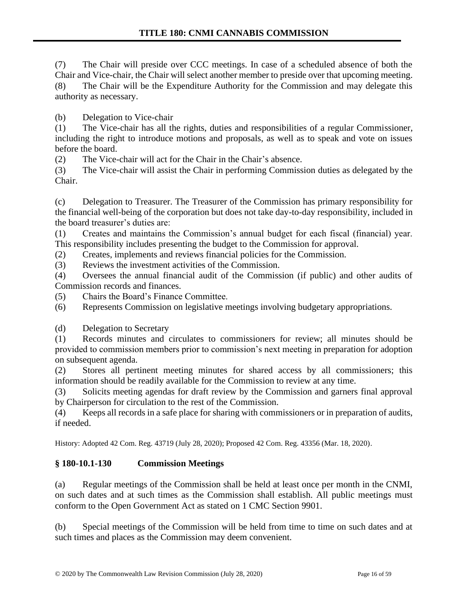(7) The Chair will preside over CCC meetings. In case of a scheduled absence of both the Chair and Vice-chair, the Chair will select another member to preside over that upcoming meeting. (8) The Chair will be the Expenditure Authority for the Commission and may delegate this authority as necessary.

(b) Delegation to Vice-chair

(1) The Vice-chair has all the rights, duties and responsibilities of a regular Commissioner, including the right to introduce motions and proposals, as well as to speak and vote on issues before the board.

(2) The Vice-chair will act for the Chair in the Chair's absence.

(3) The Vice-chair will assist the Chair in performing Commission duties as delegated by the Chair.

(c) Delegation to Treasurer. The Treasurer of the Commission has primary responsibility for the financial well-being of the corporation but does not take day-to-day responsibility, included in the board treasurer's duties are:

(1) Creates and maintains the Commission's annual budget for each fiscal (financial) year. This responsibility includes presenting the budget to the Commission for approval.

(2) Creates, implements and reviews financial policies for the Commission.

(3) Reviews the investment activities of the Commission.

(4) Oversees the annual financial audit of the Commission (if public) and other audits of Commission records and finances.

(5) Chairs the Board's Finance Committee.

(6) Represents Commission on legislative meetings involving budgetary appropriations.

(d) Delegation to Secretary

(1) Records minutes and circulates to commissioners for review; all minutes should be provided to commission members prior to commission's next meeting in preparation for adoption on subsequent agenda.

(2) Stores all pertinent meeting minutes for shared access by all commissioners; this information should be readily available for the Commission to review at any time.

(3) Solicits meeting agendas for draft review by the Commission and garners final approval by Chairperson for circulation to the rest of the Commission.

(4) Keeps all records in a safe place for sharing with commissioners or in preparation of audits, if needed.

History: Adopted 42 Com. Reg. 43719 (July 28, 2020); Proposed 42 Com. Reg. 43356 (Mar. 18, 2020).

# **§ 180-10.1-130 Commission Meetings**

(a) Regular meetings of the Commission shall be held at least once per month in the CNMI, on such dates and at such times as the Commission shall establish. All public meetings must conform to the Open Government Act as stated on 1 CMC Section 9901.

(b) Special meetings of the Commission will be held from time to time on such dates and at such times and places as the Commission may deem convenient.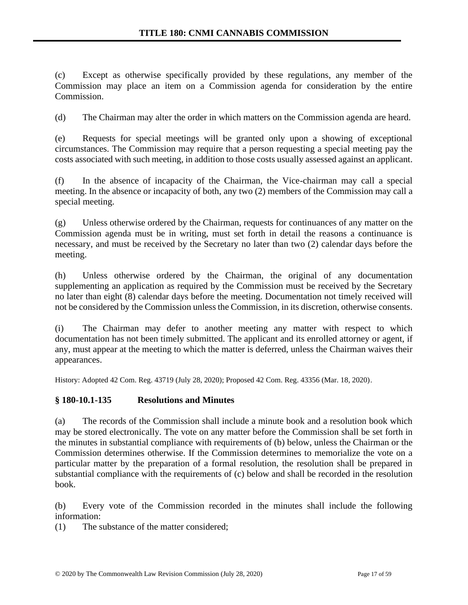(c) Except as otherwise specifically provided by these regulations, any member of the Commission may place an item on a Commission agenda for consideration by the entire Commission.

(d) The Chairman may alter the order in which matters on the Commission agenda are heard.

(e) Requests for special meetings will be granted only upon a showing of exceptional circumstances. The Commission may require that a person requesting a special meeting pay the costs associated with such meeting, in addition to those costs usually assessed against an applicant.

(f) In the absence of incapacity of the Chairman, the Vice-chairman may call a special meeting. In the absence or incapacity of both, any two (2) members of the Commission may call a special meeting.

(g) Unless otherwise ordered by the Chairman, requests for continuances of any matter on the Commission agenda must be in writing, must set forth in detail the reasons a continuance is necessary, and must be received by the Secretary no later than two (2) calendar days before the meeting.

(h) Unless otherwise ordered by the Chairman, the original of any documentation supplementing an application as required by the Commission must be received by the Secretary no later than eight (8) calendar days before the meeting. Documentation not timely received will not be considered by the Commission unless the Commission, in its discretion, otherwise consents.

(i) The Chairman may defer to another meeting any matter with respect to which documentation has not been timely submitted. The applicant and its enrolled attorney or agent, if any, must appear at the meeting to which the matter is deferred, unless the Chairman waives their appearances.

History: Adopted 42 Com. Reg. 43719 (July 28, 2020); Proposed 42 Com. Reg. 43356 (Mar. 18, 2020).

### **§ 180-10.1-135 Resolutions and Minutes**

(a) The records of the Commission shall include a minute book and a resolution book which may be stored electronically. The vote on any matter before the Commission shall be set forth in the minutes in substantial compliance with requirements of (b) below, unless the Chairman or the Commission determines otherwise. If the Commission determines to memorialize the vote on a particular matter by the preparation of a formal resolution, the resolution shall be prepared in substantial compliance with the requirements of (c) below and shall be recorded in the resolution book.

(b) Every vote of the Commission recorded in the minutes shall include the following information:

(1) The substance of the matter considered;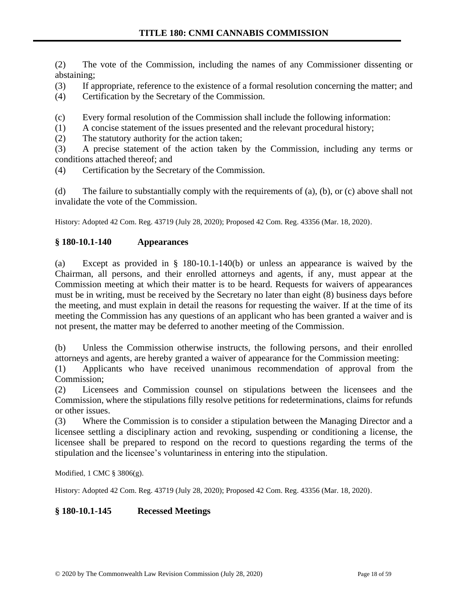(2) The vote of the Commission, including the names of any Commissioner dissenting or abstaining;

- (3) If appropriate, reference to the existence of a formal resolution concerning the matter; and
- (4) Certification by the Secretary of the Commission.
- (c) Every formal resolution of the Commission shall include the following information:
- (1) A concise statement of the issues presented and the relevant procedural history;
- (2) The statutory authority for the action taken;

(3) A precise statement of the action taken by the Commission, including any terms or conditions attached thereof; and

(4) Certification by the Secretary of the Commission.

(d) The failure to substantially comply with the requirements of (a), (b), or (c) above shall not invalidate the vote of the Commission.

History: Adopted 42 Com. Reg. 43719 (July 28, 2020); Proposed 42 Com. Reg. 43356 (Mar. 18, 2020).

# **§ 180-10.1-140 Appearances**

(a) Except as provided in § 180-10.1-140(b) or unless an appearance is waived by the Chairman, all persons, and their enrolled attorneys and agents, if any, must appear at the Commission meeting at which their matter is to be heard. Requests for waivers of appearances must be in writing, must be received by the Secretary no later than eight (8) business days before the meeting, and must explain in detail the reasons for requesting the waiver. If at the time of its meeting the Commission has any questions of an applicant who has been granted a waiver and is not present, the matter may be deferred to another meeting of the Commission.

(b) Unless the Commission otherwise instructs, the following persons, and their enrolled attorneys and agents, are hereby granted a waiver of appearance for the Commission meeting:

(1) Applicants who have received unanimous recommendation of approval from the Commission;

(2) Licensees and Commission counsel on stipulations between the licensees and the Commission, where the stipulations filly resolve petitions for redeterminations, claims for refunds or other issues.

(3) Where the Commission is to consider a stipulation between the Managing Director and a licensee settling a disciplinary action and revoking, suspending or conditioning a license, the licensee shall be prepared to respond on the record to questions regarding the terms of the stipulation and the licensee's voluntariness in entering into the stipulation.

Modified, 1 CMC § 3806(g).

History: Adopted 42 Com. Reg. 43719 (July 28, 2020); Proposed 42 Com. Reg. 43356 (Mar. 18, 2020).

### **§ 180-10.1-145 Recessed Meetings**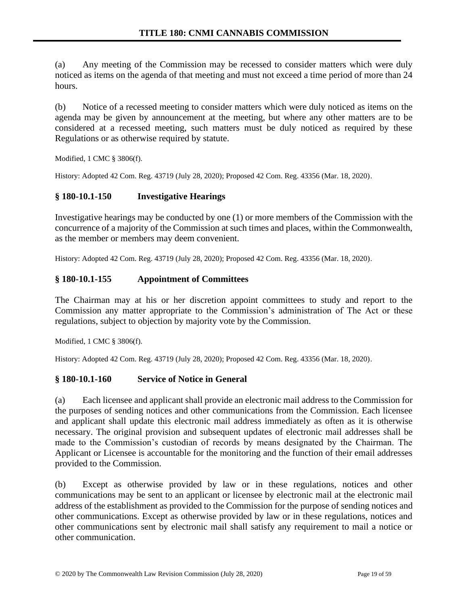(a) Any meeting of the Commission may be recessed to consider matters which were duly noticed as items on the agenda of that meeting and must not exceed a time period of more than 24 hours.

(b) Notice of a recessed meeting to consider matters which were duly noticed as items on the agenda may be given by announcement at the meeting, but where any other matters are to be considered at a recessed meeting, such matters must be duly noticed as required by these Regulations or as otherwise required by statute.

Modified, 1 CMC § 3806(f).

History: Adopted 42 Com. Reg. 43719 (July 28, 2020); Proposed 42 Com. Reg. 43356 (Mar. 18, 2020).

# **§ 180-10.1-150 Investigative Hearings**

Investigative hearings may be conducted by one (1) or more members of the Commission with the concurrence of a majority of the Commission at such times and places, within the Commonwealth, as the member or members may deem convenient.

History: Adopted 42 Com. Reg. 43719 (July 28, 2020); Proposed 42 Com. Reg. 43356 (Mar. 18, 2020).

### **§ 180-10.1-155 Appointment of Committees**

The Chairman may at his or her discretion appoint committees to study and report to the Commission any matter appropriate to the Commission's administration of The Act or these regulations, subject to objection by majority vote by the Commission.

Modified, 1 CMC § 3806(f).

History: Adopted 42 Com. Reg. 43719 (July 28, 2020); Proposed 42 Com. Reg. 43356 (Mar. 18, 2020).

### **§ 180-10.1-160 Service of Notice in General**

(a) Each licensee and applicant shall provide an electronic mail address to the Commission for the purposes of sending notices and other communications from the Commission. Each licensee and applicant shall update this electronic mail address immediately as often as it is otherwise necessary. The original provision and subsequent updates of electronic mail addresses shall be made to the Commission's custodian of records by means designated by the Chairman. The Applicant or Licensee is accountable for the monitoring and the function of their email addresses provided to the Commission.

(b) Except as otherwise provided by law or in these regulations, notices and other communications may be sent to an applicant or licensee by electronic mail at the electronic mail address of the establishment as provided to the Commission for the purpose of sending notices and other communications. Except as otherwise provided by law or in these regulations, notices and other communications sent by electronic mail shall satisfy any requirement to mail a notice or other communication.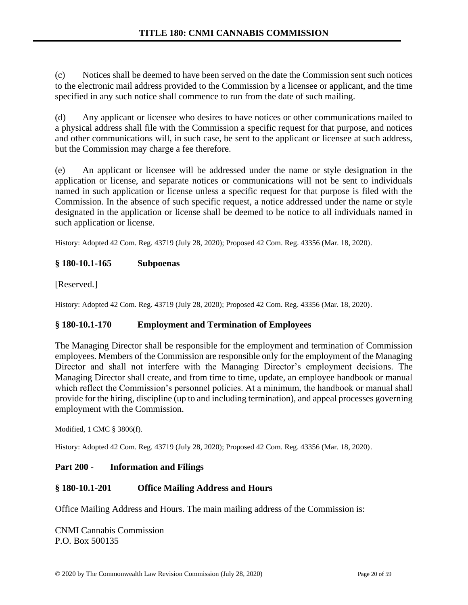(c) Notices shall be deemed to have been served on the date the Commission sent such notices to the electronic mail address provided to the Commission by a licensee or applicant, and the time specified in any such notice shall commence to run from the date of such mailing.

(d) Any applicant or licensee who desires to have notices or other communications mailed to a physical address shall file with the Commission a specific request for that purpose, and notices and other communications will, in such case, be sent to the applicant or licensee at such address, but the Commission may charge a fee therefore.

(e) An applicant or licensee will be addressed under the name or style designation in the application or license, and separate notices or communications will not be sent to individuals named in such application or license unless a specific request for that purpose is filed with the Commission. In the absence of such specific request, a notice addressed under the name or style designated in the application or license shall be deemed to be notice to all individuals named in such application or license.

History: Adopted 42 Com. Reg. 43719 (July 28, 2020); Proposed 42 Com. Reg. 43356 (Mar. 18, 2020).

# **§ 180-10.1-165 Subpoenas**

[Reserved.]

History: Adopted 42 Com. Reg. 43719 (July 28, 2020); Proposed 42 Com. Reg. 43356 (Mar. 18, 2020).

### **§ 180-10.1-170 Employment and Termination of Employees**

The Managing Director shall be responsible for the employment and termination of Commission employees. Members of the Commission are responsible only for the employment of the Managing Director and shall not interfere with the Managing Director's employment decisions. The Managing Director shall create, and from time to time, update, an employee handbook or manual which reflect the Commission's personnel policies. At a minimum, the handbook or manual shall provide for the hiring, discipline (up to and including termination), and appeal processes governing employment with the Commission.

Modified, 1 CMC § 3806(f).

History: Adopted 42 Com. Reg. 43719 (July 28, 2020); Proposed 42 Com. Reg. 43356 (Mar. 18, 2020).

### **Part 200 - Information and Filings**

### **§ 180-10.1-201 Office Mailing Address and Hours**

Office Mailing Address and Hours. The main mailing address of the Commission is:

CNMI Cannabis Commission P.O. Box 500135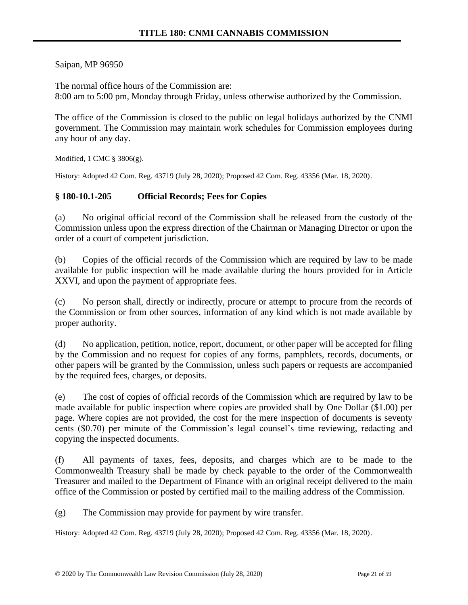Saipan, MP 96950

The normal office hours of the Commission are: 8:00 am to 5:00 pm, Monday through Friday, unless otherwise authorized by the Commission.

The office of the Commission is closed to the public on legal holidays authorized by the CNMI government. The Commission may maintain work schedules for Commission employees during any hour of any day.

Modified, 1 CMC § 3806(g).

History: Adopted 42 Com. Reg. 43719 (July 28, 2020); Proposed 42 Com. Reg. 43356 (Mar. 18, 2020).

### **§ 180-10.1-205 Official Records; Fees for Copies**

(a) No original official record of the Commission shall be released from the custody of the Commission unless upon the express direction of the Chairman or Managing Director or upon the order of a court of competent jurisdiction.

(b) Copies of the official records of the Commission which are required by law to be made available for public inspection will be made available during the hours provided for in Article XXVI, and upon the payment of appropriate fees.

(c) No person shall, directly or indirectly, procure or attempt to procure from the records of the Commission or from other sources, information of any kind which is not made available by proper authority.

(d) No application, petition, notice, report, document, or other paper will be accepted for filing by the Commission and no request for copies of any forms, pamphlets, records, documents, or other papers will be granted by the Commission, unless such papers or requests are accompanied by the required fees, charges, or deposits.

(e) The cost of copies of official records of the Commission which are required by law to be made available for public inspection where copies are provided shall by One Dollar (\$1.00) per page. Where copies are not provided, the cost for the mere inspection of documents is seventy cents (\$0.70) per minute of the Commission's legal counsel's time reviewing, redacting and copying the inspected documents.

(f) All payments of taxes, fees, deposits, and charges which are to be made to the Commonwealth Treasury shall be made by check payable to the order of the Commonwealth Treasurer and mailed to the Department of Finance with an original receipt delivered to the main office of the Commission or posted by certified mail to the mailing address of the Commission.

(g) The Commission may provide for payment by wire transfer.

History: Adopted 42 Com. Reg. 43719 (July 28, 2020); Proposed 42 Com. Reg. 43356 (Mar. 18, 2020).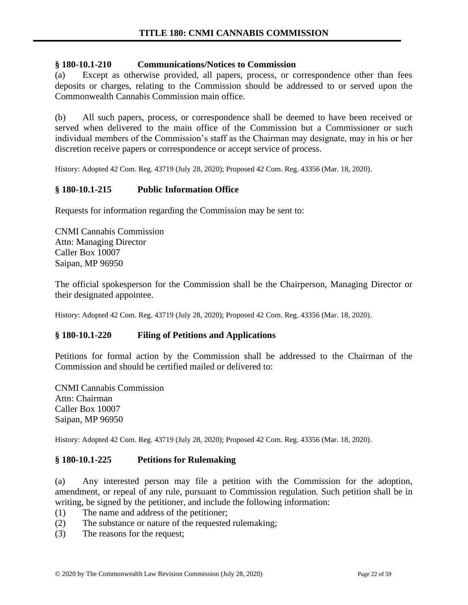### **§ 180-10.1-210 Communications/Notices to Commission**

(a) Except as otherwise provided, all papers, process, or correspondence other than fees deposits or charges, relating to the Commission should be addressed to or served upon the Commonwealth Cannabis Commission main office.

(b) All such papers, process, or correspondence shall be deemed to have been received or served when delivered to the main office of the Commission but a Commissioner or such individual members of the Commission's staff as the Chairman may designate, may in his or her discretion receive papers or correspondence or accept service of process.

History: Adopted 42 Com. Reg. 43719 (July 28, 2020); Proposed 42 Com. Reg. 43356 (Mar. 18, 2020).

#### **§ 180-10.1-215 Public Information Office**

Requests for information regarding the Commission may be sent to:

CNMI Cannabis Commission Attn: Managing Director Caller Box 10007 Saipan, MP 96950

The official spokesperson for the Commission shall be the Chairperson, Managing Director or their designated appointee.

History: Adopted 42 Com. Reg. 43719 (July 28, 2020); Proposed 42 Com. Reg. 43356 (Mar. 18, 2020).

#### **§ 180-10.1-220 Filing of Petitions and Applications**

Petitions for formal action by the Commission shall be addressed to the Chairman of the Commission and should be certified mailed or delivered to:

CNMI Cannabis Commission Attn: Chairman Caller Box 10007 Saipan, MP 96950

History: Adopted 42 Com. Reg. 43719 (July 28, 2020); Proposed 42 Com. Reg. 43356 (Mar. 18, 2020).

#### **§ 180-10.1-225 Petitions for Rulemaking**

(a) Any interested person may file a petition with the Commission for the adoption, amendment, or repeal of any rule, pursuant to Commission regulation. Such petition shall be in writing, be signed by the petitioner, and include the following information:

- (1) The name and address of the petitioner;
- (2) The substance or nature of the requested rulemaking;
- (3) The reasons for the request;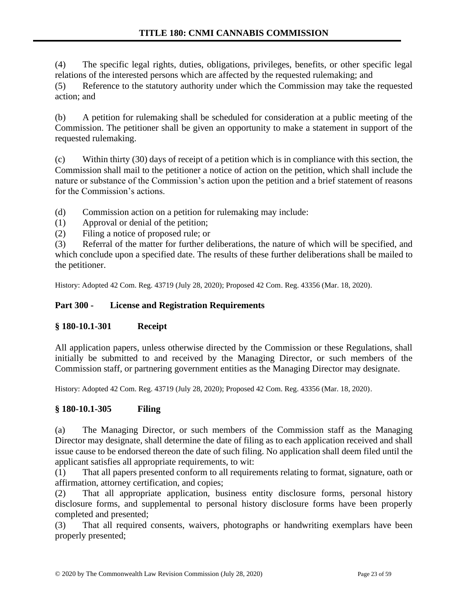(4) The specific legal rights, duties, obligations, privileges, benefits, or other specific legal relations of the interested persons which are affected by the requested rulemaking; and

(5) Reference to the statutory authority under which the Commission may take the requested action; and

(b) A petition for rulemaking shall be scheduled for consideration at a public meeting of the Commission. The petitioner shall be given an opportunity to make a statement in support of the requested rulemaking.

(c) Within thirty (30) days of receipt of a petition which is in compliance with this section, the Commission shall mail to the petitioner a notice of action on the petition, which shall include the nature or substance of the Commission's action upon the petition and a brief statement of reasons for the Commission's actions.

(d) Commission action on a petition for rulemaking may include:

- (1) Approval or denial of the petition;
- (2) Filing a notice of proposed rule; or

(3) Referral of the matter for further deliberations, the nature of which will be specified, and which conclude upon a specified date. The results of these further deliberations shall be mailed to the petitioner.

History: Adopted 42 Com. Reg. 43719 (July 28, 2020); Proposed 42 Com. Reg. 43356 (Mar. 18, 2020).

### **Part 300 - License and Registration Requirements**

### **§ 180-10.1-301 Receipt**

All application papers, unless otherwise directed by the Commission or these Regulations, shall initially be submitted to and received by the Managing Director, or such members of the Commission staff, or partnering government entities as the Managing Director may designate.

History: Adopted 42 Com. Reg. 43719 (July 28, 2020); Proposed 42 Com. Reg. 43356 (Mar. 18, 2020).

### **§ 180-10.1-305 Filing**

(a) The Managing Director, or such members of the Commission staff as the Managing Director may designate, shall determine the date of filing as to each application received and shall issue cause to be endorsed thereon the date of such filing. No application shall deem filed until the applicant satisfies all appropriate requirements, to wit:

(1) That all papers presented conform to all requirements relating to format, signature, oath or affirmation, attorney certification, and copies;

(2) That all appropriate application, business entity disclosure forms, personal history disclosure forms, and supplemental to personal history disclosure forms have been properly completed and presented;

(3) That all required consents, waivers, photographs or handwriting exemplars have been properly presented;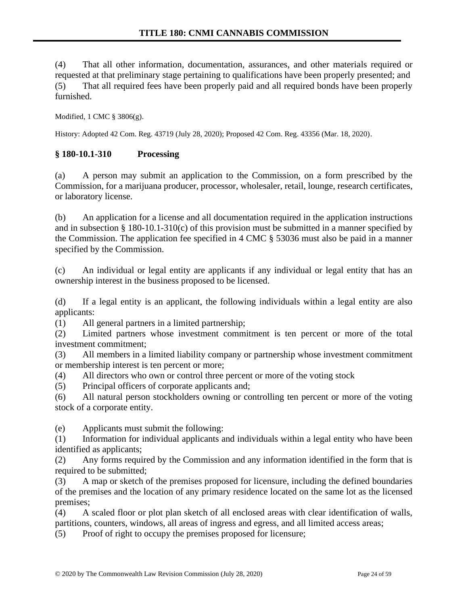(4) That all other information, documentation, assurances, and other materials required or requested at that preliminary stage pertaining to qualifications have been properly presented; and (5) That all required fees have been properly paid and all required bonds have been properly furnished.

Modified, 1 CMC § 3806(g).

History: Adopted 42 Com. Reg. 43719 (July 28, 2020); Proposed 42 Com. Reg. 43356 (Mar. 18, 2020).

#### **§ 180-10.1-310 Processing**

(a) A person may submit an application to the Commission, on a form prescribed by the Commission, for a marijuana producer, processor, wholesaler, retail, lounge, research certificates, or laboratory license.

(b) An application for a license and all documentation required in the application instructions and in subsection § 180-10.1-310(c) of this provision must be submitted in a manner specified by the Commission. The application fee specified in 4 CMC § 53036 must also be paid in a manner specified by the Commission.

(c) An individual or legal entity are applicants if any individual or legal entity that has an ownership interest in the business proposed to be licensed.

(d) If a legal entity is an applicant, the following individuals within a legal entity are also applicants:

(1) All general partners in a limited partnership;

(2) Limited partners whose investment commitment is ten percent or more of the total investment commitment;

(3) All members in a limited liability company or partnership whose investment commitment or membership interest is ten percent or more;

(4) All directors who own or control three percent or more of the voting stock

(5) Principal officers of corporate applicants and;

(6) All natural person stockholders owning or controlling ten percent or more of the voting stock of a corporate entity.

(e) Applicants must submit the following:

(1) Information for individual applicants and individuals within a legal entity who have been identified as applicants;

(2) Any forms required by the Commission and any information identified in the form that is required to be submitted;

(3) A map or sketch of the premises proposed for licensure, including the defined boundaries of the premises and the location of any primary residence located on the same lot as the licensed premises;

(4) A scaled floor or plot plan sketch of all enclosed areas with clear identification of walls, partitions, counters, windows, all areas of ingress and egress, and all limited access areas;

(5) Proof of right to occupy the premises proposed for licensure;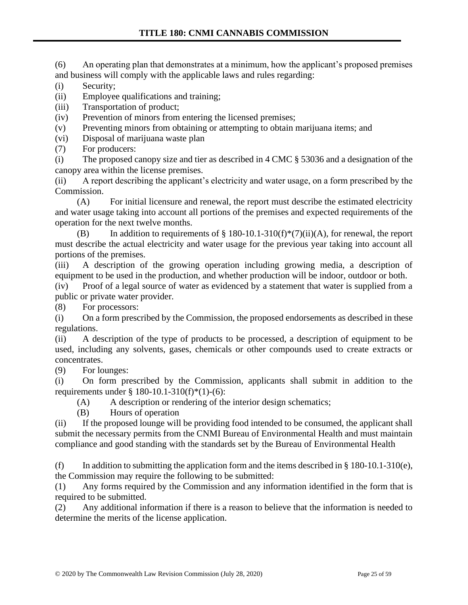(6) An operating plan that demonstrates at a minimum, how the applicant's proposed premises and business will comply with the applicable laws and rules regarding:

- (i) Security;
- (ii) Employee qualifications and training;
- (iii) Transportation of product;
- (iv) Prevention of minors from entering the licensed premises;
- (v) Preventing minors from obtaining or attempting to obtain marijuana items; and
- (vi) Disposal of marijuana waste plan
- (7) For producers:

(i) The proposed canopy size and tier as described in 4 CMC § 53036 and a designation of the canopy area within the license premises.

(ii) A report describing the applicant's electricity and water usage, on a form prescribed by the Commission.

(A) For initial licensure and renewal, the report must describe the estimated electricity and water usage taking into account all portions of the premises and expected requirements of the operation for the next twelve months.

(B) In addition to requirements of  $\S 180-10.1-310(f)*(7)(ii)(A)$ , for renewal, the report must describe the actual electricity and water usage for the previous year taking into account all portions of the premises.

(iii) A description of the growing operation including growing media, a description of equipment to be used in the production, and whether production will be indoor, outdoor or both.

(iv) Proof of a legal source of water as evidenced by a statement that water is supplied from a public or private water provider.

(8) For processors:

(i) On a form prescribed by the Commission, the proposed endorsements as described in these regulations.

(ii) A description of the type of products to be processed, a description of equipment to be used, including any solvents, gases, chemicals or other compounds used to create extracts or concentrates.

(9) For lounges:

(i) On form prescribed by the Commission, applicants shall submit in addition to the requirements under § 180-10.1-310(f)\*(1)-(6):

(A) A description or rendering of the interior design schematics;

(B) Hours of operation

(ii) If the proposed lounge will be providing food intended to be consumed, the applicant shall submit the necessary permits from the CNMI Bureau of Environmental Health and must maintain compliance and good standing with the standards set by the Bureau of Environmental Health

(f) In addition to submitting the application form and the items described in  $\S$  180-10.1-310(e), the Commission may require the following to be submitted:

(1) Any forms required by the Commission and any information identified in the form that is required to be submitted.

(2) Any additional information if there is a reason to believe that the information is needed to determine the merits of the license application.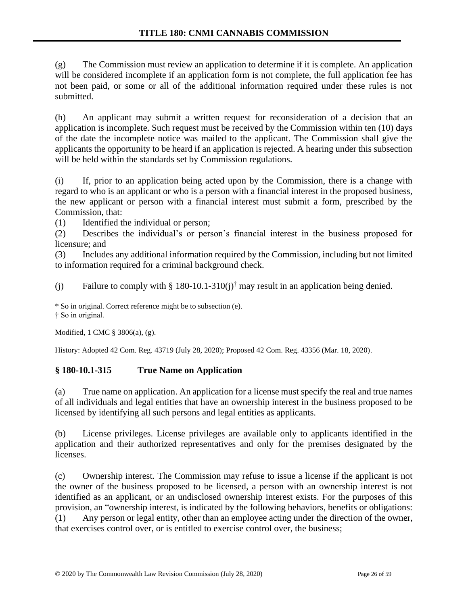(g) The Commission must review an application to determine if it is complete. An application will be considered incomplete if an application form is not complete, the full application fee has not been paid, or some or all of the additional information required under these rules is not submitted.

(h) An applicant may submit a written request for reconsideration of a decision that an application is incomplete. Such request must be received by the Commission within ten (10) days of the date the incomplete notice was mailed to the applicant. The Commission shall give the applicants the opportunity to be heard if an application is rejected. A hearing under this subsection will be held within the standards set by Commission regulations.

(i) If, prior to an application being acted upon by the Commission, there is a change with regard to who is an applicant or who is a person with a financial interest in the proposed business, the new applicant or person with a financial interest must submit a form, prescribed by the Commission, that:

(1) Identified the individual or person;

(2) Describes the individual's or person's financial interest in the business proposed for licensure; and

(3) Includes any additional information required by the Commission, including but not limited to information required for a criminal background check.

(j) Failure to comply with § 180-10.1-310(j)<sup>†</sup> may result in an application being denied.

\* So in original. Correct reference might be to subsection (e). † So in original.

Modified, 1 CMC § 3806(a), (g).

History: Adopted 42 Com. Reg. 43719 (July 28, 2020); Proposed 42 Com. Reg. 43356 (Mar. 18, 2020).

### **§ 180-10.1-315 True Name on Application**

(a) True name on application. An application for a license must specify the real and true names of all individuals and legal entities that have an ownership interest in the business proposed to be licensed by identifying all such persons and legal entities as applicants.

(b) License privileges. License privileges are available only to applicants identified in the application and their authorized representatives and only for the premises designated by the licenses.

(c) Ownership interest. The Commission may refuse to issue a license if the applicant is not the owner of the business proposed to be licensed, a person with an ownership interest is not identified as an applicant, or an undisclosed ownership interest exists. For the purposes of this provision, an "ownership interest, is indicated by the following behaviors, benefits or obligations: (1) Any person or legal entity, other than an employee acting under the direction of the owner, that exercises control over, or is entitled to exercise control over, the business;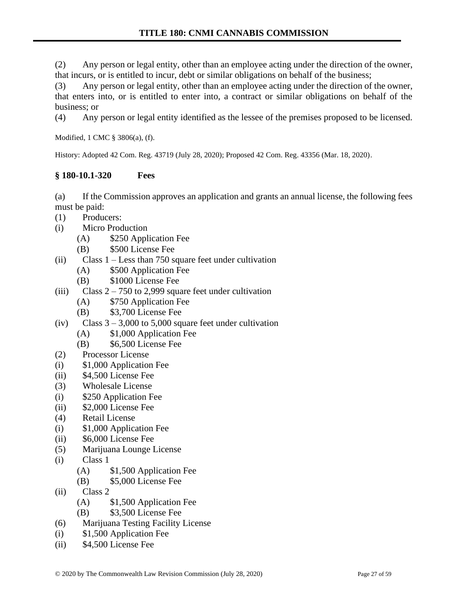(2) Any person or legal entity, other than an employee acting under the direction of the owner, that incurs, or is entitled to incur, debt or similar obligations on behalf of the business;

(3) Any person or legal entity, other than an employee acting under the direction of the owner, that enters into, or is entitled to enter into, a contract or similar obligations on behalf of the business; or

(4) Any person or legal entity identified as the lessee of the premises proposed to be licensed.

Modified, 1 CMC § 3806(a), (f).

History: Adopted 42 Com. Reg. 43719 (July 28, 2020); Proposed 42 Com. Reg. 43356 (Mar. 18, 2020).

# **§ 180-10.1-320 Fees**

(a) If the Commission approves an application and grants an annual license, the following fees must be paid:

- (1) Producers:
- (i) Micro Production
	- (A) \$250 Application Fee
	- (B) \$500 License Fee
- (ii) Class 1 Less than 750 square feet under cultivation
	- (A) \$500 Application Fee
	- (B) \$1000 License Fee
- (iii) Class  $2 750$  to 2,999 square feet under cultivation
	- (A) \$750 Application Fee
	- (B) \$3,700 License Fee
- (iv) Class  $3 3,000$  to 5,000 square feet under cultivation
	- (A) \$1,000 Application Fee
	- (B) \$6,500 License Fee
- (2) Processor License
- (i) \$1,000 Application Fee
- (ii) \$4,500 License Fee
- (3) Wholesale License
- (i) \$250 Application Fee
- (ii) \$2,000 License Fee
- (4) Retail License
- (i) \$1,000 Application Fee
- (ii) \$6,000 License Fee
- (5) Marijuana Lounge License
- (i) Class 1
	- (A) \$1,500 Application Fee
	- (B) \$5,000 License Fee
- (ii) Class 2
	- (A) \$1,500 Application Fee
	- (B) \$3,500 License Fee
- (6) Marijuana Testing Facility License
- (i) \$1,500 Application Fee
- (ii) \$4,500 License Fee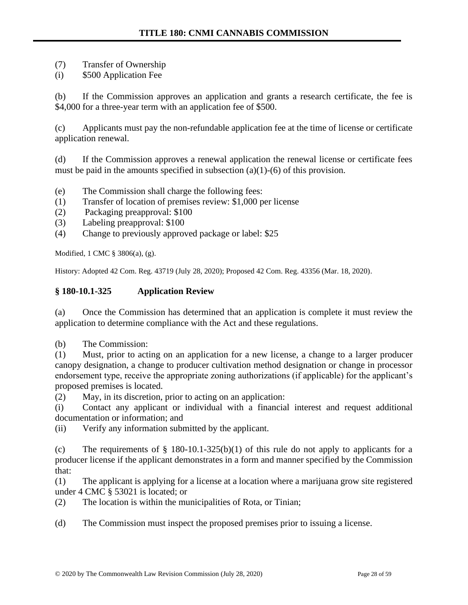- (7) Transfer of Ownership
- (i) \$500 Application Fee

(b) If the Commission approves an application and grants a research certificate, the fee is \$4,000 for a three-year term with an application fee of \$500.

(c) Applicants must pay the non-refundable application fee at the time of license or certificate application renewal.

(d) If the Commission approves a renewal application the renewal license or certificate fees must be paid in the amounts specified in subsection  $(a)(1)-(6)$  of this provision.

- (e) The Commission shall charge the following fees:
- (1) Transfer of location of premises review: \$1,000 per license
- (2) Packaging preapproval: \$100
- (3) Labeling preapproval: \$100
- (4) Change to previously approved package or label: \$25

Modified, 1 CMC § 3806(a), (g).

History: Adopted 42 Com. Reg. 43719 (July 28, 2020); Proposed 42 Com. Reg. 43356 (Mar. 18, 2020).

### **§ 180-10.1-325 Application Review**

(a) Once the Commission has determined that an application is complete it must review the application to determine compliance with the Act and these regulations.

(b) The Commission:

(1) Must, prior to acting on an application for a new license, a change to a larger producer canopy designation, a change to producer cultivation method designation or change in processor endorsement type, receive the appropriate zoning authorizations (if applicable) for the applicant's proposed premises is located.

(2) May, in its discretion, prior to acting on an application:

(i) Contact any applicant or individual with a financial interest and request additional documentation or information; and

(ii) Verify any information submitted by the applicant.

(c) The requirements of  $\S$  180-10.1-325(b)(1) of this rule do not apply to applicants for a producer license if the applicant demonstrates in a form and manner specified by the Commission that:

(1) The applicant is applying for a license at a location where a marijuana grow site registered under 4 CMC § 53021 is located; or

(2) The location is within the municipalities of Rota, or Tinian;

(d) The Commission must inspect the proposed premises prior to issuing a license.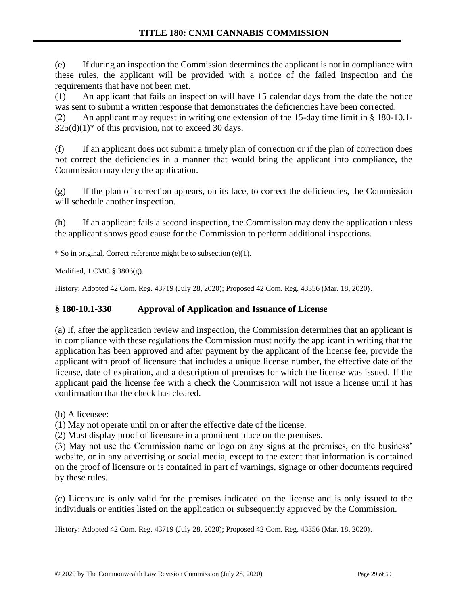(e) If during an inspection the Commission determines the applicant is not in compliance with these rules, the applicant will be provided with a notice of the failed inspection and the requirements that have not been met.

(1) An applicant that fails an inspection will have 15 calendar days from the date the notice was sent to submit a written response that demonstrates the deficiencies have been corrected.

(2) An applicant may request in writing one extension of the 15-day time limit in § 180-10.1-  $325(d)(1)$ <sup>\*</sup> of this provision, not to exceed 30 days.

(f) If an applicant does not submit a timely plan of correction or if the plan of correction does not correct the deficiencies in a manner that would bring the applicant into compliance, the Commission may deny the application.

(g) If the plan of correction appears, on its face, to correct the deficiencies, the Commission will schedule another inspection.

(h) If an applicant fails a second inspection, the Commission may deny the application unless the applicant shows good cause for the Commission to perform additional inspections.

\* So in original. Correct reference might be to subsection (e)(1).

Modified, 1 CMC § 3806(g).

History: Adopted 42 Com. Reg. 43719 (July 28, 2020); Proposed 42 Com. Reg. 43356 (Mar. 18, 2020).

# **§ 180-10.1-330 Approval of Application and Issuance of License**

(a) If, after the application review and inspection, the Commission determines that an applicant is in compliance with these regulations the Commission must notify the applicant in writing that the application has been approved and after payment by the applicant of the license fee, provide the applicant with proof of licensure that includes a unique license number, the effective date of the license, date of expiration, and a description of premises for which the license was issued. If the applicant paid the license fee with a check the Commission will not issue a license until it has confirmation that the check has cleared.

(b) A licensee:

(1) May not operate until on or after the effective date of the license.

(2) Must display proof of licensure in a prominent place on the premises.

(3) May not use the Commission name or logo on any signs at the premises, on the business' website, or in any advertising or social media, except to the extent that information is contained on the proof of licensure or is contained in part of warnings, signage or other documents required by these rules.

(c) Licensure is only valid for the premises indicated on the license and is only issued to the individuals or entities listed on the application or subsequently approved by the Commission.

History: Adopted 42 Com. Reg. 43719 (July 28, 2020); Proposed 42 Com. Reg. 43356 (Mar. 18, 2020).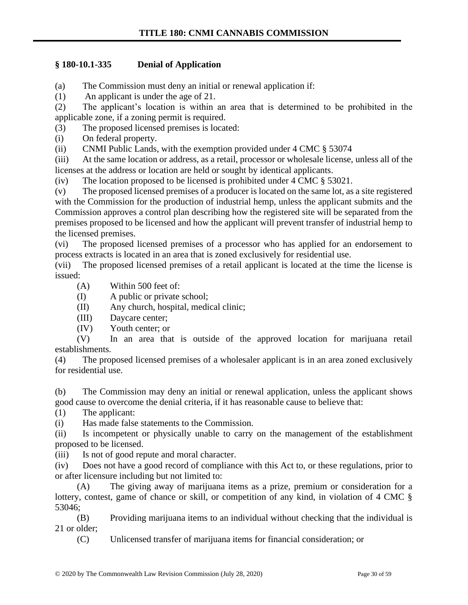# **§ 180-10.1-335 Denial of Application**

(a) The Commission must deny an initial or renewal application if:

(1) An applicant is under the age of 21.

(2) The applicant's location is within an area that is determined to be prohibited in the applicable zone, if a zoning permit is required.

(3) The proposed licensed premises is located:

(i) On federal property.

(ii) CNMI Public Lands, with the exemption provided under 4 CMC § 53074

(iii) At the same location or address, as a retail, processor or wholesale license, unless all of the licenses at the address or location are held or sought by identical applicants.

(iv) The location proposed to be licensed is prohibited under 4 CMC § 53021.

(v) The proposed licensed premises of a producer is located on the same lot, as a site registered with the Commission for the production of industrial hemp, unless the applicant submits and the Commission approves a control plan describing how the registered site will be separated from the premises proposed to be licensed and how the applicant will prevent transfer of industrial hemp to the licensed premises.

(vi) The proposed licensed premises of a processor who has applied for an endorsement to process extracts is located in an area that is zoned exclusively for residential use.

(vii) The proposed licensed premises of a retail applicant is located at the time the license is issued:

(A) Within 500 feet of:

(I) A public or private school;

(II) Any church, hospital, medical clinic;

(III) Daycare center;

(IV) Youth center; or

(V) In an area that is outside of the approved location for marijuana retail establishments.

(4) The proposed licensed premises of a wholesaler applicant is in an area zoned exclusively for residential use.

(b) The Commission may deny an initial or renewal application, unless the applicant shows good cause to overcome the denial criteria, if it has reasonable cause to believe that:

(1) The applicant:

(i) Has made false statements to the Commission.

(ii) Is incompetent or physically unable to carry on the management of the establishment proposed to be licensed.

(iii) Is not of good repute and moral character.

(iv) Does not have a good record of compliance with this Act to, or these regulations, prior to or after licensure including but not limited to:

(A) The giving away of marijuana items as a prize, premium or consideration for a lottery, contest, game of chance or skill, or competition of any kind, in violation of 4 CMC  $\S$ 53046;

(B) Providing marijuana items to an individual without checking that the individual is 21 or older;

(C) Unlicensed transfer of marijuana items for financial consideration; or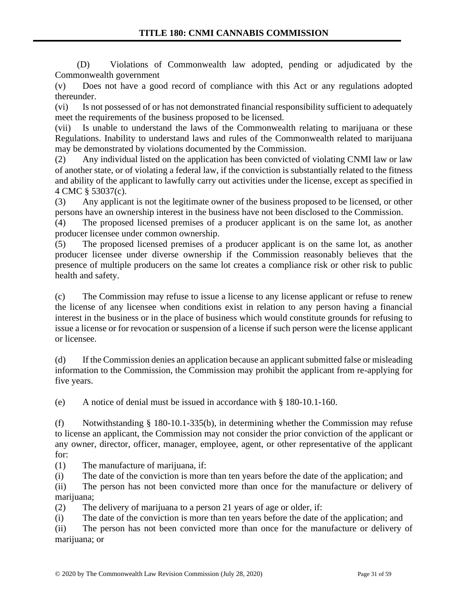(D) Violations of Commonwealth law adopted, pending or adjudicated by the Commonwealth government

(v) Does not have a good record of compliance with this Act or any regulations adopted thereunder.

(vi) Is not possessed of or has not demonstrated financial responsibility sufficient to adequately meet the requirements of the business proposed to be licensed.

(vii) Is unable to understand the laws of the Commonwealth relating to marijuana or these Regulations. Inability to understand laws and rules of the Commonwealth related to marijuana may be demonstrated by violations documented by the Commission.

(2) Any individual listed on the application has been convicted of violating CNMI law or law of another state, or of violating a federal law, if the conviction is substantially related to the fitness and ability of the applicant to lawfully carry out activities under the license, except as specified in 4 CMC § 53037(c).

(3) Any applicant is not the legitimate owner of the business proposed to be licensed, or other persons have an ownership interest in the business have not been disclosed to the Commission.

(4) The proposed licensed premises of a producer applicant is on the same lot, as another producer licensee under common ownership.

(5) The proposed licensed premises of a producer applicant is on the same lot, as another producer licensee under diverse ownership if the Commission reasonably believes that the presence of multiple producers on the same lot creates a compliance risk or other risk to public health and safety.

(c) The Commission may refuse to issue a license to any license applicant or refuse to renew the license of any licensee when conditions exist in relation to any person having a financial interest in the business or in the place of business which would constitute grounds for refusing to issue a license or for revocation or suspension of a license if such person were the license applicant or licensee.

(d) If the Commission denies an application because an applicant submitted false or misleading information to the Commission, the Commission may prohibit the applicant from re-applying for five years.

(e) A notice of denial must be issued in accordance with § 180-10.1-160.

(f) Notwithstanding § 180-10.1-335(b), in determining whether the Commission may refuse to license an applicant, the Commission may not consider the prior conviction of the applicant or any owner, director, officer, manager, employee, agent, or other representative of the applicant for:

(1) The manufacture of marijuana, if:

(i) The date of the conviction is more than ten years before the date of the application; and

(ii) The person has not been convicted more than once for the manufacture or delivery of marijuana;

(2) The delivery of marijuana to a person 21 years of age or older, if:

(i) The date of the conviction is more than ten years before the date of the application; and

(ii) The person has not been convicted more than once for the manufacture or delivery of marijuana; or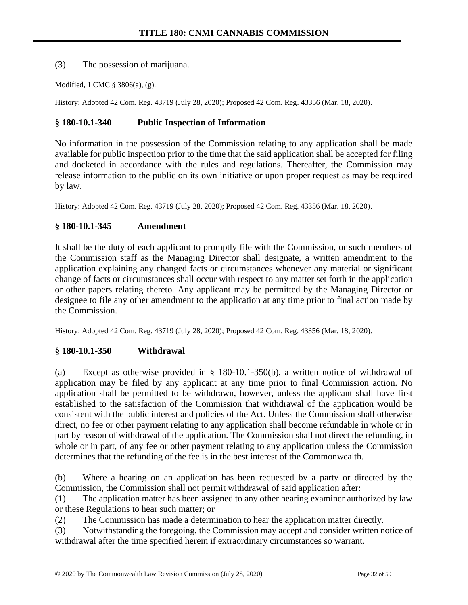(3) The possession of marijuana.

Modified, 1 CMC § 3806(a), (g).

History: Adopted 42 Com. Reg. 43719 (July 28, 2020); Proposed 42 Com. Reg. 43356 (Mar. 18, 2020).

# **§ 180-10.1-340 Public Inspection of Information**

No information in the possession of the Commission relating to any application shall be made available for public inspection prior to the time that the said application shall be accepted for filing and docketed in accordance with the rules and regulations. Thereafter, the Commission may release information to the public on its own initiative or upon proper request as may be required by law.

History: Adopted 42 Com. Reg. 43719 (July 28, 2020); Proposed 42 Com. Reg. 43356 (Mar. 18, 2020).

# **§ 180-10.1-345 Amendment**

It shall be the duty of each applicant to promptly file with the Commission, or such members of the Commission staff as the Managing Director shall designate, a written amendment to the application explaining any changed facts or circumstances whenever any material or significant change of facts or circumstances shall occur with respect to any matter set forth in the application or other papers relating thereto. Any applicant may be permitted by the Managing Director or designee to file any other amendment to the application at any time prior to final action made by the Commission.

History: Adopted 42 Com. Reg. 43719 (July 28, 2020); Proposed 42 Com. Reg. 43356 (Mar. 18, 2020).

# **§ 180-10.1-350 Withdrawal**

(a) Except as otherwise provided in § 180-10.1-350(b), a written notice of withdrawal of application may be filed by any applicant at any time prior to final Commission action. No application shall be permitted to be withdrawn, however, unless the applicant shall have first established to the satisfaction of the Commission that withdrawal of the application would be consistent with the public interest and policies of the Act. Unless the Commission shall otherwise direct, no fee or other payment relating to any application shall become refundable in whole or in part by reason of withdrawal of the application. The Commission shall not direct the refunding, in whole or in part, of any fee or other payment relating to any application unless the Commission determines that the refunding of the fee is in the best interest of the Commonwealth.

(b) Where a hearing on an application has been requested by a party or directed by the Commission, the Commission shall not permit withdrawal of said application after:

(1) The application matter has been assigned to any other hearing examiner authorized by law or these Regulations to hear such matter; or

(2) The Commission has made a determination to hear the application matter directly.

(3) Notwithstanding the foregoing, the Commission may accept and consider written notice of withdrawal after the time specified herein if extraordinary circumstances so warrant.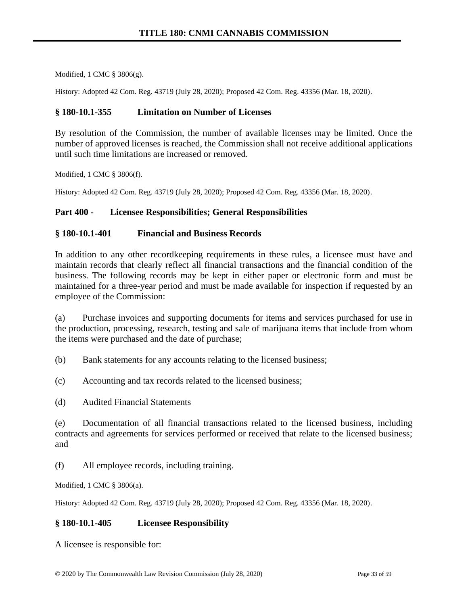Modified, 1 CMC § 3806(g).

History: Adopted 42 Com. Reg. 43719 (July 28, 2020); Proposed 42 Com. Reg. 43356 (Mar. 18, 2020).

#### **§ 180-10.1-355 Limitation on Number of Licenses**

By resolution of the Commission, the number of available licenses may be limited. Once the number of approved licenses is reached, the Commission shall not receive additional applications until such time limitations are increased or removed.

Modified, 1 CMC § 3806(f).

History: Adopted 42 Com. Reg. 43719 (July 28, 2020); Proposed 42 Com. Reg. 43356 (Mar. 18, 2020).

#### **Part 400 - Licensee Responsibilities; General Responsibilities**

#### **§ 180-10.1-401 Financial and Business Records**

In addition to any other recordkeeping requirements in these rules, a licensee must have and maintain records that clearly reflect all financial transactions and the financial condition of the business. The following records may be kept in either paper or electronic form and must be maintained for a three-year period and must be made available for inspection if requested by an employee of the Commission:

(a) Purchase invoices and supporting documents for items and services purchased for use in the production, processing, research, testing and sale of marijuana items that include from whom the items were purchased and the date of purchase;

(b) Bank statements for any accounts relating to the licensed business;

(c) Accounting and tax records related to the licensed business;

(d) Audited Financial Statements

(e) Documentation of all financial transactions related to the licensed business, including contracts and agreements for services performed or received that relate to the licensed business; and

(f) All employee records, including training.

Modified, 1 CMC § 3806(a).

History: Adopted 42 Com. Reg. 43719 (July 28, 2020); Proposed 42 Com. Reg. 43356 (Mar. 18, 2020).

### **§ 180-10.1-405 Licensee Responsibility**

A licensee is responsible for: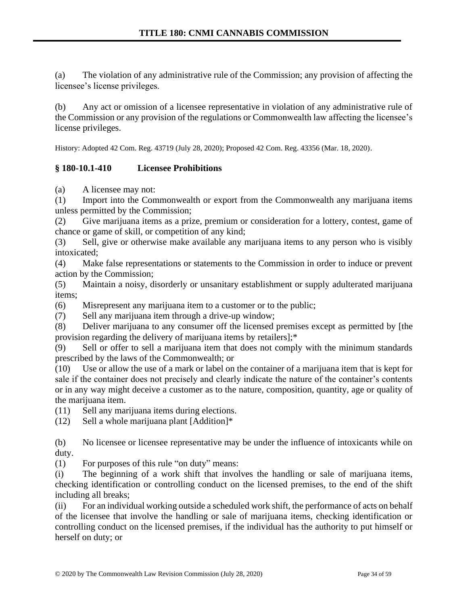(a) The violation of any administrative rule of the Commission; any provision of affecting the licensee's license privileges.

(b) Any act or omission of a licensee representative in violation of any administrative rule of the Commission or any provision of the regulations or Commonwealth law affecting the licensee's license privileges.

History: Adopted 42 Com. Reg. 43719 (July 28, 2020); Proposed 42 Com. Reg. 43356 (Mar. 18, 2020).

# **§ 180-10.1-410 Licensee Prohibitions**

(a) A licensee may not:

(1) Import into the Commonwealth or export from the Commonwealth any marijuana items unless permitted by the Commission;

(2) Give marijuana items as a prize, premium or consideration for a lottery, contest, game of chance or game of skill, or competition of any kind;

(3) Sell, give or otherwise make available any marijuana items to any person who is visibly intoxicated;

(4) Make false representations or statements to the Commission in order to induce or prevent action by the Commission;

(5) Maintain a noisy, disorderly or unsanitary establishment or supply adulterated marijuana items;

(6) Misrepresent any marijuana item to a customer or to the public;

(7) Sell any marijuana item through a drive-up window;

(8) Deliver marijuana to any consumer off the licensed premises except as permitted by [the provision regarding the delivery of marijuana items by retailers];\*

(9) Sell or offer to sell a marijuana item that does not comply with the minimum standards prescribed by the laws of the Commonwealth; or

(10) Use or allow the use of a mark or label on the container of a marijuana item that is kept for sale if the container does not precisely and clearly indicate the nature of the container's contents or in any way might deceive a customer as to the nature, composition, quantity, age or quality of the marijuana item.

(11) Sell any marijuana items during elections.

(12) Sell a whole marijuana plant [Addition]\*

(b) No licensee or licensee representative may be under the influence of intoxicants while on duty.

(1) For purposes of this rule "on duty" means:

(i) The beginning of a work shift that involves the handling or sale of marijuana items, checking identification or controlling conduct on the licensed premises, to the end of the shift including all breaks;

(ii) For an individual working outside a scheduled work shift, the performance of acts on behalf of the licensee that involve the handling or sale of marijuana items, checking identification or controlling conduct on the licensed premises, if the individual has the authority to put himself or herself on duty; or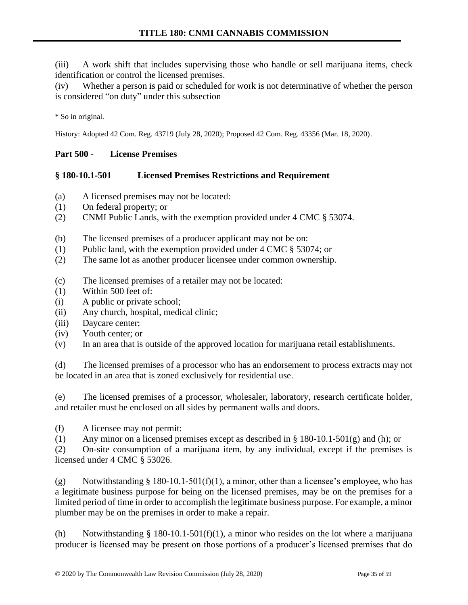(iii) A work shift that includes supervising those who handle or sell marijuana items, check identification or control the licensed premises.

(iv) Whether a person is paid or scheduled for work is not determinative of whether the person is considered "on duty" under this subsection

\* So in original.

History: Adopted 42 Com. Reg. 43719 (July 28, 2020); Proposed 42 Com. Reg. 43356 (Mar. 18, 2020).

### **Part 500 - License Premises**

### **§ 180-10.1-501 Licensed Premises Restrictions and Requirement**

- (a) A licensed premises may not be located:
- (1) On federal property; or
- (2) CNMI Public Lands, with the exemption provided under 4 CMC § 53074.
- (b) The licensed premises of a producer applicant may not be on:
- (1) Public land, with the exemption provided under 4 CMC § 53074; or
- (2) The same lot as another producer licensee under common ownership.
- (c) The licensed premises of a retailer may not be located:
- (1) Within 500 feet of:
- (i) A public or private school;
- (ii) Any church, hospital, medical clinic;
- (iii) Daycare center;
- (iv) Youth center; or
- (v) In an area that is outside of the approved location for marijuana retail establishments.

(d) The licensed premises of a processor who has an endorsement to process extracts may not be located in an area that is zoned exclusively for residential use.

(e) The licensed premises of a processor, wholesaler, laboratory, research certificate holder, and retailer must be enclosed on all sides by permanent walls and doors.

(f) A licensee may not permit:

(1) Any minor on a licensed premises except as described in § 180-10.1-501(g) and (h); or

(2) On-site consumption of a marijuana item, by any individual, except if the premises is licensed under 4 CMC § 53026.

(g) Notwithstanding  $\S 180-10.1-501(f)(1)$ , a minor, other than a licensee's employee, who has a legitimate business purpose for being on the licensed premises, may be on the premises for a limited period of time in order to accomplish the legitimate business purpose. For example, a minor plumber may be on the premises in order to make a repair.

(h) Notwithstanding § 180-10.1-501(f)(1), a minor who resides on the lot where a marijuana producer is licensed may be present on those portions of a producer's licensed premises that do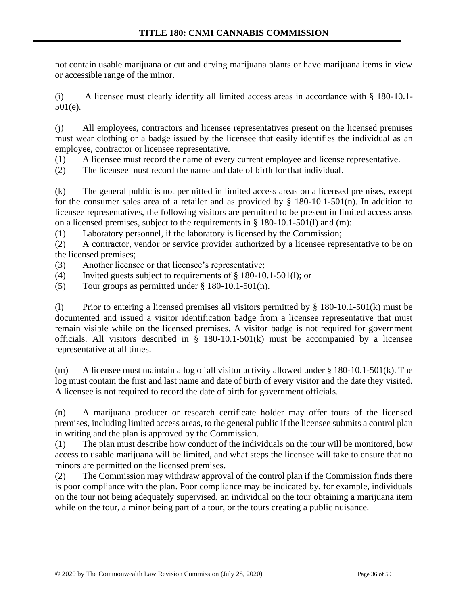not contain usable marijuana or cut and drying marijuana plants or have marijuana items in view or accessible range of the minor.

(i) A licensee must clearly identify all limited access areas in accordance with § 180-10.1- 501(e).

(j) All employees, contractors and licensee representatives present on the licensed premises must wear clothing or a badge issued by the licensee that easily identifies the individual as an employee, contractor or licensee representative.

(1) A licensee must record the name of every current employee and license representative.

(2) The licensee must record the name and date of birth for that individual.

(k) The general public is not permitted in limited access areas on a licensed premises, except for the consumer sales area of a retailer and as provided by  $\S$  180-10.1-501(n). In addition to licensee representatives, the following visitors are permitted to be present in limited access areas on a licensed premises, subject to the requirements in § 180-10.1-501(l) and (m):

(1) Laboratory personnel, if the laboratory is licensed by the Commission;

(2) A contractor, vendor or service provider authorized by a licensee representative to be on the licensed premises;

(3) Another licensee or that licensee's representative;

(4) Invited guests subject to requirements of § 180-10.1-501(l); or

(5) Tour groups as permitted under  $\S 180-10.1-501(n)$ .

(1) Prior to entering a licensed premises all visitors permitted by  $\S 180-10.1-501(k)$  must be documented and issued a visitor identification badge from a licensee representative that must remain visible while on the licensed premises. A visitor badge is not required for government officials. All visitors described in  $\S$  180-10.1-501(k) must be accompanied by a licensee representative at all times.

(m) A licensee must maintain a log of all visitor activity allowed under § 180-10.1-501(k). The log must contain the first and last name and date of birth of every visitor and the date they visited. A licensee is not required to record the date of birth for government officials.

(n) A marijuana producer or research certificate holder may offer tours of the licensed premises, including limited access areas, to the general public if the licensee submits a control plan in writing and the plan is approved by the Commission.

(1) The plan must describe how conduct of the individuals on the tour will be monitored, how access to usable marijuana will be limited, and what steps the licensee will take to ensure that no minors are permitted on the licensed premises.

(2) The Commission may withdraw approval of the control plan if the Commission finds there is poor compliance with the plan. Poor compliance may be indicated by, for example, individuals on the tour not being adequately supervised, an individual on the tour obtaining a marijuana item while on the tour, a minor being part of a tour, or the tours creating a public nuisance.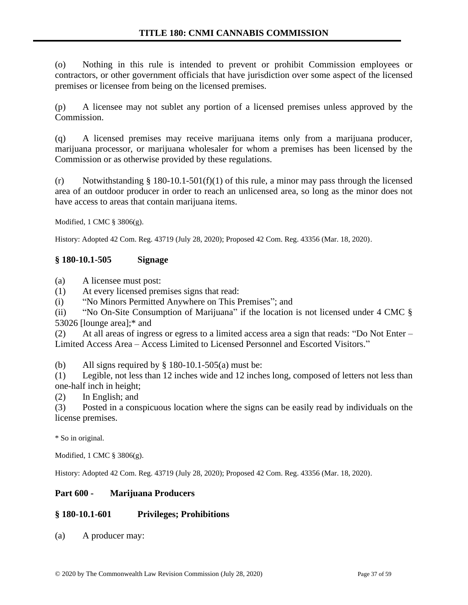(o) Nothing in this rule is intended to prevent or prohibit Commission employees or contractors, or other government officials that have jurisdiction over some aspect of the licensed premises or licensee from being on the licensed premises.

(p) A licensee may not sublet any portion of a licensed premises unless approved by the Commission.

(q) A licensed premises may receive marijuana items only from a marijuana producer, marijuana processor, or marijuana wholesaler for whom a premises has been licensed by the Commission or as otherwise provided by these regulations.

(r) Notwithstanding § 180-10.1-501(f)(1) of this rule, a minor may pass through the licensed area of an outdoor producer in order to reach an unlicensed area, so long as the minor does not have access to areas that contain marijuana items.

Modified, 1 CMC § 3806(g).

History: Adopted 42 Com. Reg. 43719 (July 28, 2020); Proposed 42 Com. Reg. 43356 (Mar. 18, 2020).

### **§ 180-10.1-505 Signage**

(a) A licensee must post:

(1) At every licensed premises signs that read:

(i) "No Minors Permitted Anywhere on This Premises"; and

(ii) "No On-Site Consumption of Marijuana" if the location is not licensed under 4 CMC § 53026 [lounge area];\* and

(2) At all areas of ingress or egress to a limited access area a sign that reads: "Do Not Enter – Limited Access Area – Access Limited to Licensed Personnel and Escorted Visitors."

(b) All signs required by  $\S$  180-10.1-505(a) must be:

(1) Legible, not less than 12 inches wide and 12 inches long, composed of letters not less than one-half inch in height;

(2) In English; and

(3) Posted in a conspicuous location where the signs can be easily read by individuals on the license premises.

\* So in original.

Modified, 1 CMC § 3806(g).

History: Adopted 42 Com. Reg. 43719 (July 28, 2020); Proposed 42 Com. Reg. 43356 (Mar. 18, 2020).

### **Part 600 - Marijuana Producers**

### **§ 180-10.1-601 Privileges; Prohibitions**

(a) A producer may: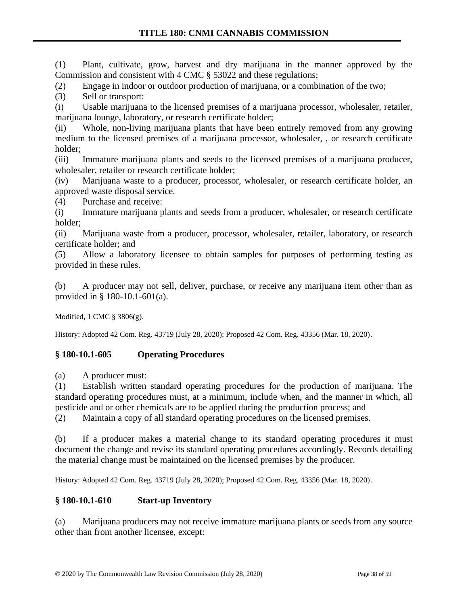(1) Plant, cultivate, grow, harvest and dry marijuana in the manner approved by the Commission and consistent with 4 CMC § 53022 and these regulations;

(2) Engage in indoor or outdoor production of marijuana, or a combination of the two;

(3) Sell or transport:

(i) Usable marijuana to the licensed premises of a marijuana processor, wholesaler, retailer, marijuana lounge, laboratory, or research certificate holder;

(ii) Whole, non-living marijuana plants that have been entirely removed from any growing medium to the licensed premises of a marijuana processor, wholesaler, , or research certificate holder;

(iii) Immature marijuana plants and seeds to the licensed premises of a marijuana producer, wholesaler, retailer or research certificate holder;

(iv) Marijuana waste to a producer, processor, wholesaler, or research certificate holder, an approved waste disposal service.

(4) Purchase and receive:

(i) Immature marijuana plants and seeds from a producer, wholesaler, or research certificate holder;

(ii) Marijuana waste from a producer, processor, wholesaler, retailer, laboratory, or research certificate holder; and

(5) Allow a laboratory licensee to obtain samples for purposes of performing testing as provided in these rules.

(b) A producer may not sell, deliver, purchase, or receive any marijuana item other than as provided in § 180-10.1-601(a).

Modified, 1 CMC § 3806(g).

History: Adopted 42 Com. Reg. 43719 (July 28, 2020); Proposed 42 Com. Reg. 43356 (Mar. 18, 2020).

# **§ 180-10.1-605 Operating Procedures**

(a) A producer must:

(1) Establish written standard operating procedures for the production of marijuana. The standard operating procedures must, at a minimum, include when, and the manner in which, all pesticide and or other chemicals are to be applied during the production process; and

(2) Maintain a copy of all standard operating procedures on the licensed premises.

(b) If a producer makes a material change to its standard operating procedures it must document the change and revise its standard operating procedures accordingly. Records detailing the material change must be maintained on the licensed premises by the producer.

History: Adopted 42 Com. Reg. 43719 (July 28, 2020); Proposed 42 Com. Reg. 43356 (Mar. 18, 2020).

# **§ 180-10.1-610 Start-up Inventory**

(a) Marijuana producers may not receive immature marijuana plants or seeds from any source other than from another licensee, except: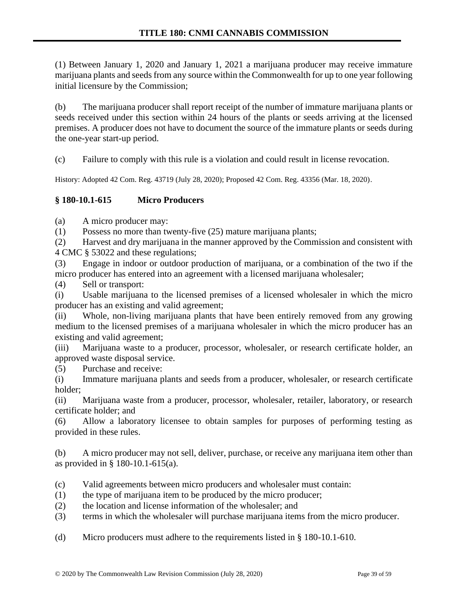(1) Between January 1, 2020 and January 1, 2021 a marijuana producer may receive immature marijuana plants and seeds from any source within the Commonwealth for up to one year following initial licensure by the Commission;

(b) The marijuana producer shall report receipt of the number of immature marijuana plants or seeds received under this section within 24 hours of the plants or seeds arriving at the licensed premises. A producer does not have to document the source of the immature plants or seeds during the one-year start-up period.

(c) Failure to comply with this rule is a violation and could result in license revocation.

History: Adopted 42 Com. Reg. 43719 (July 28, 2020); Proposed 42 Com. Reg. 43356 (Mar. 18, 2020).

# **§ 180-10.1-615 Micro Producers**

(a) A micro producer may:

(1) Possess no more than twenty-five (25) mature marijuana plants;

(2) Harvest and dry marijuana in the manner approved by the Commission and consistent with 4 CMC § 53022 and these regulations;

(3) Engage in indoor or outdoor production of marijuana, or a combination of the two if the micro producer has entered into an agreement with a licensed marijuana wholesaler;

(4) Sell or transport:

(i) Usable marijuana to the licensed premises of a licensed wholesaler in which the micro producer has an existing and valid agreement;

(ii) Whole, non-living marijuana plants that have been entirely removed from any growing medium to the licensed premises of a marijuana wholesaler in which the micro producer has an existing and valid agreement;

(iii) Marijuana waste to a producer, processor, wholesaler, or research certificate holder, an approved waste disposal service.

(5) Purchase and receive:

(i) Immature marijuana plants and seeds from a producer, wholesaler, or research certificate holder;

(ii) Marijuana waste from a producer, processor, wholesaler, retailer, laboratory, or research certificate holder; and

(6) Allow a laboratory licensee to obtain samples for purposes of performing testing as provided in these rules.

(b) A micro producer may not sell, deliver, purchase, or receive any marijuana item other than as provided in § 180-10.1-615(a).

(c) Valid agreements between micro producers and wholesaler must contain:

- (1) the type of marijuana item to be produced by the micro producer;
- (2) the location and license information of the wholesaler; and
- (3) terms in which the wholesaler will purchase marijuana items from the micro producer.

(d) Micro producers must adhere to the requirements listed in § 180-10.1-610.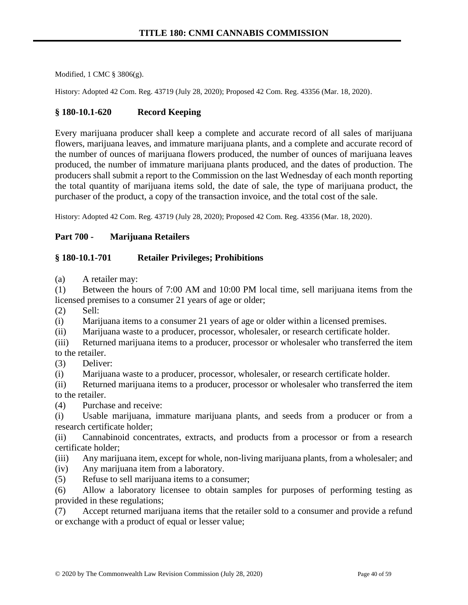Modified, 1 CMC § 3806(g).

History: Adopted 42 Com. Reg. 43719 (July 28, 2020); Proposed 42 Com. Reg. 43356 (Mar. 18, 2020).

#### **§ 180-10.1-620 Record Keeping**

Every marijuana producer shall keep a complete and accurate record of all sales of marijuana flowers, marijuana leaves, and immature marijuana plants, and a complete and accurate record of the number of ounces of marijuana flowers produced, the number of ounces of marijuana leaves produced, the number of immature marijuana plants produced, and the dates of production. The producers shall submit a report to the Commission on the last Wednesday of each month reporting the total quantity of marijuana items sold, the date of sale, the type of marijuana product, the purchaser of the product, a copy of the transaction invoice, and the total cost of the sale.

History: Adopted 42 Com. Reg. 43719 (July 28, 2020); Proposed 42 Com. Reg. 43356 (Mar. 18, 2020).

#### **Part 700 - Marijuana Retailers**

#### **§ 180-10.1-701 Retailer Privileges; Prohibitions**

(a) A retailer may:

(1) Between the hours of 7:00 AM and 10:00 PM local time, sell marijuana items from the licensed premises to a consumer 21 years of age or older;

(2) Sell:

(i) Marijuana items to a consumer 21 years of age or older within a licensed premises.

(ii) Marijuana waste to a producer, processor, wholesaler, or research certificate holder.

(iii) Returned marijuana items to a producer, processor or wholesaler who transferred the item to the retailer.

(3) Deliver:

(i) Marijuana waste to a producer, processor, wholesaler, or research certificate holder.

(ii) Returned marijuana items to a producer, processor or wholesaler who transferred the item to the retailer.

(4) Purchase and receive:

(i) Usable marijuana, immature marijuana plants, and seeds from a producer or from a research certificate holder;

(ii) Cannabinoid concentrates, extracts, and products from a processor or from a research certificate holder;

(iii) Any marijuana item, except for whole, non-living marijuana plants, from a wholesaler; and

(iv) Any marijuana item from a laboratory.

(5) Refuse to sell marijuana items to a consumer;

(6) Allow a laboratory licensee to obtain samples for purposes of performing testing as provided in these regulations;

(7) Accept returned marijuana items that the retailer sold to a consumer and provide a refund or exchange with a product of equal or lesser value;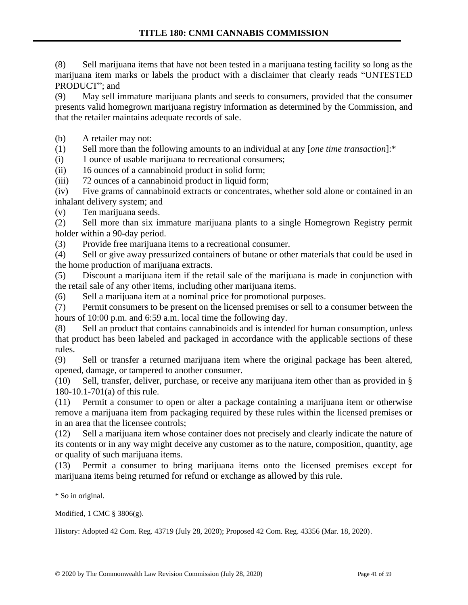(8) Sell marijuana items that have not been tested in a marijuana testing facility so long as the marijuana item marks or labels the product with a disclaimer that clearly reads "UNTESTED PRODUCT"; and

(9) May sell immature marijuana plants and seeds to consumers, provided that the consumer presents valid homegrown marijuana registry information as determined by the Commission, and that the retailer maintains adequate records of sale.

(b) A retailer may not:

(1) Sell more than the following amounts to an individual at any [*one time transaction*]:\*

(i) 1 ounce of usable marijuana to recreational consumers;

(ii) 16 ounces of a cannabinoid product in solid form;

(iii) 72 ounces of a cannabinoid product in liquid form;

(iv) Five grams of cannabinoid extracts or concentrates, whether sold alone or contained in an inhalant delivery system; and

(v) Ten marijuana seeds.

(2) Sell more than six immature marijuana plants to a single Homegrown Registry permit holder within a 90-day period.

(3) Provide free marijuana items to a recreational consumer.

(4) Sell or give away pressurized containers of butane or other materials that could be used in the home production of marijuana extracts.

(5) Discount a marijuana item if the retail sale of the marijuana is made in conjunction with the retail sale of any other items, including other marijuana items.

(6) Sell a marijuana item at a nominal price for promotional purposes.

(7) Permit consumers to be present on the licensed premises or sell to a consumer between the hours of 10:00 p.m. and 6:59 a.m. local time the following day.

(8) Sell an product that contains cannabinoids and is intended for human consumption, unless that product has been labeled and packaged in accordance with the applicable sections of these rules.

(9) Sell or transfer a returned marijuana item where the original package has been altered, opened, damage, or tampered to another consumer.

(10) Sell, transfer, deliver, purchase, or receive any marijuana item other than as provided in § 180-10.1-701(a) of this rule.

(11) Permit a consumer to open or alter a package containing a marijuana item or otherwise remove a marijuana item from packaging required by these rules within the licensed premises or in an area that the licensee controls;

(12) Sell a marijuana item whose container does not precisely and clearly indicate the nature of its contents or in any way might deceive any customer as to the nature, composition, quantity, age or quality of such marijuana items.

(13) Permit a consumer to bring marijuana items onto the licensed premises except for marijuana items being returned for refund or exchange as allowed by this rule.

\* So in original.

Modified, 1 CMC § 3806(g).

History: Adopted 42 Com. Reg. 43719 (July 28, 2020); Proposed 42 Com. Reg. 43356 (Mar. 18, 2020).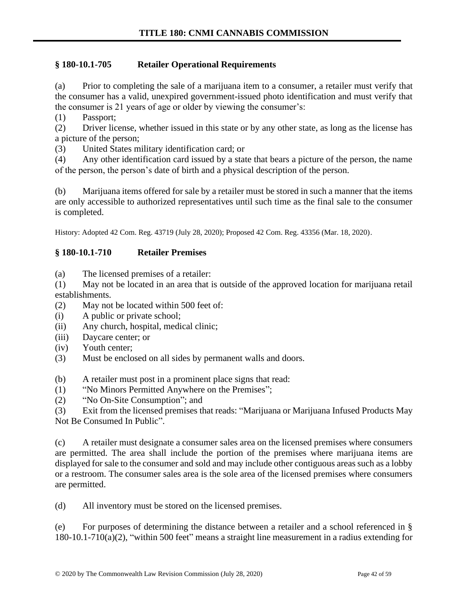# **§ 180-10.1-705 Retailer Operational Requirements**

(a) Prior to completing the sale of a marijuana item to a consumer, a retailer must verify that the consumer has a valid, unexpired government-issued photo identification and must verify that the consumer is 21 years of age or older by viewing the consumer's:

(1) Passport;

(2) Driver license, whether issued in this state or by any other state, as long as the license has a picture of the person;

(3) United States military identification card; or

(4) Any other identification card issued by a state that bears a picture of the person, the name of the person, the person's date of birth and a physical description of the person.

(b) Marijuana items offered for sale by a retailer must be stored in such a manner that the items are only accessible to authorized representatives until such time as the final sale to the consumer is completed.

History: Adopted 42 Com. Reg. 43719 (July 28, 2020); Proposed 42 Com. Reg. 43356 (Mar. 18, 2020).

### **§ 180-10.1-710 Retailer Premises**

(a) The licensed premises of a retailer:

(1) May not be located in an area that is outside of the approved location for marijuana retail establishments.

- (2) May not be located within 500 feet of:
- (i) A public or private school;
- (ii) Any church, hospital, medical clinic;
- (iii) Daycare center; or
- (iv) Youth center;
- (3) Must be enclosed on all sides by permanent walls and doors.
- (b) A retailer must post in a prominent place signs that read:
- (1) "No Minors Permitted Anywhere on the Premises";
- (2) "No On-Site Consumption"; and

(3) Exit from the licensed premises that reads: "Marijuana or Marijuana Infused Products May Not Be Consumed In Public".

(c) A retailer must designate a consumer sales area on the licensed premises where consumers are permitted. The area shall include the portion of the premises where marijuana items are displayed for sale to the consumer and sold and may include other contiguous areas such as a lobby or a restroom. The consumer sales area is the sole area of the licensed premises where consumers are permitted.

(d) All inventory must be stored on the licensed premises.

(e) For purposes of determining the distance between a retailer and a school referenced in § 180-10.1-710(a)(2), "within 500 feet" means a straight line measurement in a radius extending for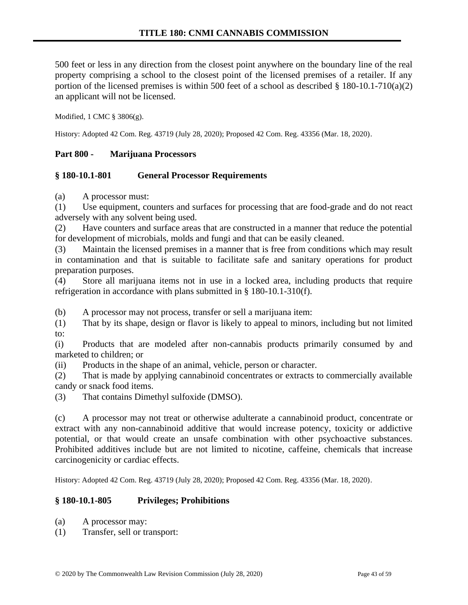500 feet or less in any direction from the closest point anywhere on the boundary line of the real property comprising a school to the closest point of the licensed premises of a retailer. If any portion of the licensed premises is within 500 feet of a school as described § 180-10.1-710(a)(2) an applicant will not be licensed.

Modified, 1 CMC § 3806(g).

History: Adopted 42 Com. Reg. 43719 (July 28, 2020); Proposed 42 Com. Reg. 43356 (Mar. 18, 2020).

### **Part 800 - Marijuana Processors**

#### **§ 180-10.1-801 General Processor Requirements**

(a) A processor must:

(1) Use equipment, counters and surfaces for processing that are food-grade and do not react adversely with any solvent being used.

(2) Have counters and surface areas that are constructed in a manner that reduce the potential for development of microbials, molds and fungi and that can be easily cleaned.

(3) Maintain the licensed premises in a manner that is free from conditions which may result in contamination and that is suitable to facilitate safe and sanitary operations for product preparation purposes.

(4) Store all marijuana items not in use in a locked area, including products that require refrigeration in accordance with plans submitted in § 180-10.1-310(f).

(b) A processor may not process, transfer or sell a marijuana item:

(1) That by its shape, design or flavor is likely to appeal to minors, including but not limited to:

(i) Products that are modeled after non-cannabis products primarily consumed by and marketed to children; or

(ii) Products in the shape of an animal, vehicle, person or character.

(2) That is made by applying cannabinoid concentrates or extracts to commercially available candy or snack food items.

(3) That contains Dimethyl sulfoxide (DMSO).

(c) A processor may not treat or otherwise adulterate a cannabinoid product, concentrate or extract with any non-cannabinoid additive that would increase potency, toxicity or addictive potential, or that would create an unsafe combination with other psychoactive substances. Prohibited additives include but are not limited to nicotine, caffeine, chemicals that increase carcinogenicity or cardiac effects.

History: Adopted 42 Com. Reg. 43719 (July 28, 2020); Proposed 42 Com. Reg. 43356 (Mar. 18, 2020).

### **§ 180-10.1-805 Privileges; Prohibitions**

- (a) A processor may:
- (1) Transfer, sell or transport: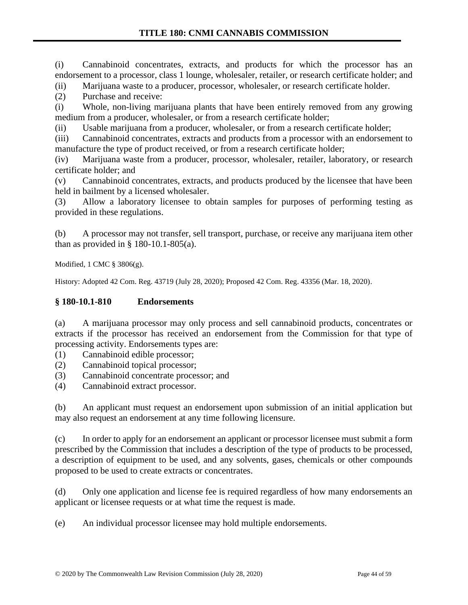(i) Cannabinoid concentrates, extracts, and products for which the processor has an endorsement to a processor, class 1 lounge, wholesaler, retailer, or research certificate holder; and

(ii) Marijuana waste to a producer, processor, wholesaler, or research certificate holder.

(2) Purchase and receive:

(i) Whole, non-living marijuana plants that have been entirely removed from any growing medium from a producer, wholesaler, or from a research certificate holder;

(ii) Usable marijuana from a producer, wholesaler, or from a research certificate holder;

(iii) Cannabinoid concentrates, extracts and products from a processor with an endorsement to manufacture the type of product received, or from a research certificate holder;

(iv) Marijuana waste from a producer, processor, wholesaler, retailer, laboratory, or research certificate holder; and

(v) Cannabinoid concentrates, extracts, and products produced by the licensee that have been held in bailment by a licensed wholesaler.

(3) Allow a laboratory licensee to obtain samples for purposes of performing testing as provided in these regulations.

(b) A processor may not transfer, sell transport, purchase, or receive any marijuana item other than as provided in  $\S$  180-10.1-805(a).

Modified, 1 CMC § 3806(g).

History: Adopted 42 Com. Reg. 43719 (July 28, 2020); Proposed 42 Com. Reg. 43356 (Mar. 18, 2020).

# **§ 180-10.1-810 Endorsements**

(a) A marijuana processor may only process and sell cannabinoid products, concentrates or extracts if the processor has received an endorsement from the Commission for that type of processing activity. Endorsements types are:

- (1) Cannabinoid edible processor;
- (2) Cannabinoid topical processor;
- (3) Cannabinoid concentrate processor; and
- (4) Cannabinoid extract processor.

(b) An applicant must request an endorsement upon submission of an initial application but may also request an endorsement at any time following licensure.

(c) In order to apply for an endorsement an applicant or processor licensee must submit a form prescribed by the Commission that includes a description of the type of products to be processed, a description of equipment to be used, and any solvents, gases, chemicals or other compounds proposed to be used to create extracts or concentrates.

(d) Only one application and license fee is required regardless of how many endorsements an applicant or licensee requests or at what time the request is made.

(e) An individual processor licensee may hold multiple endorsements.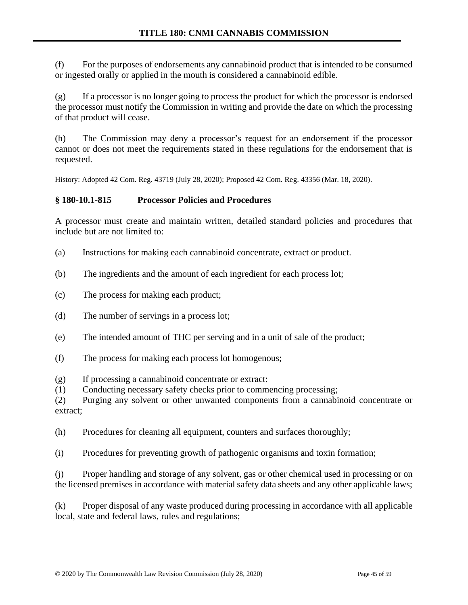(f) For the purposes of endorsements any cannabinoid product that is intended to be consumed or ingested orally or applied in the mouth is considered a cannabinoid edible.

(g) If a processor is no longer going to process the product for which the processor is endorsed the processor must notify the Commission in writing and provide the date on which the processing of that product will cease.

(h) The Commission may deny a processor's request for an endorsement if the processor cannot or does not meet the requirements stated in these regulations for the endorsement that is requested.

History: Adopted 42 Com. Reg. 43719 (July 28, 2020); Proposed 42 Com. Reg. 43356 (Mar. 18, 2020).

# **§ 180-10.1-815 Processor Policies and Procedures**

A processor must create and maintain written, detailed standard policies and procedures that include but are not limited to:

- (a) Instructions for making each cannabinoid concentrate, extract or product.
- (b) The ingredients and the amount of each ingredient for each process lot;
- (c) The process for making each product;
- (d) The number of servings in a process lot;
- (e) The intended amount of THC per serving and in a unit of sale of the product;
- (f) The process for making each process lot homogenous;

(g) If processing a cannabinoid concentrate or extract:

(1) Conducting necessary safety checks prior to commencing processing;

(2) Purging any solvent or other unwanted components from a cannabinoid concentrate or extract;

(h) Procedures for cleaning all equipment, counters and surfaces thoroughly;

(i) Procedures for preventing growth of pathogenic organisms and toxin formation;

(j) Proper handling and storage of any solvent, gas or other chemical used in processing or on the licensed premises in accordance with material safety data sheets and any other applicable laws;

(k) Proper disposal of any waste produced during processing in accordance with all applicable local, state and federal laws, rules and regulations;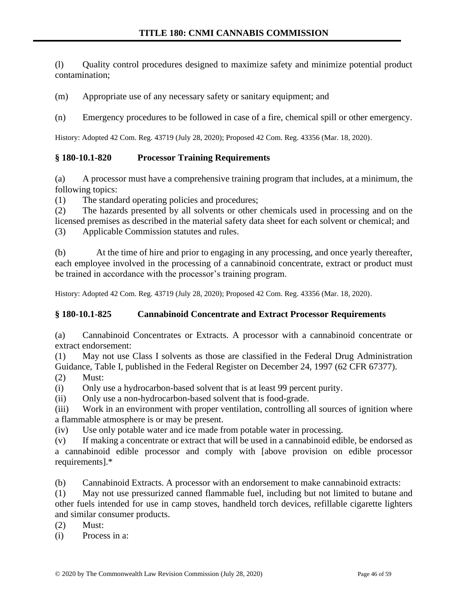(l) Quality control procedures designed to maximize safety and minimize potential product contamination;

(m) Appropriate use of any necessary safety or sanitary equipment; and

(n) Emergency procedures to be followed in case of a fire, chemical spill or other emergency.

History: Adopted 42 Com. Reg. 43719 (July 28, 2020); Proposed 42 Com. Reg. 43356 (Mar. 18, 2020).

### **§ 180-10.1-820 Processor Training Requirements**

(a) A processor must have a comprehensive training program that includes, at a minimum, the following topics:

(1) The standard operating policies and procedures;

(2) The hazards presented by all solvents or other chemicals used in processing and on the licensed premises as described in the material safety data sheet for each solvent or chemical; and

(3) Applicable Commission statutes and rules.

(b) At the time of hire and prior to engaging in any processing, and once yearly thereafter, each employee involved in the processing of a cannabinoid concentrate, extract or product must be trained in accordance with the processor's training program.

History: Adopted 42 Com. Reg. 43719 (July 28, 2020); Proposed 42 Com. Reg. 43356 (Mar. 18, 2020).

### **§ 180-10.1-825 Cannabinoid Concentrate and Extract Processor Requirements**

(a) Cannabinoid Concentrates or Extracts. A processor with a cannabinoid concentrate or extract endorsement:

(1) May not use Class I solvents as those are classified in the Federal Drug Administration Guidance, Table I, published in the Federal Register on December 24, 1997 (62 CFR 67377).

(2) Must:

(i) Only use a hydrocarbon-based solvent that is at least 99 percent purity.

(ii) Only use a non-hydrocarbon-based solvent that is food-grade.

(iii) Work in an environment with proper ventilation, controlling all sources of ignition where a flammable atmosphere is or may be present.

(iv) Use only potable water and ice made from potable water in processing.

(v) If making a concentrate or extract that will be used in a cannabinoid edible, be endorsed as a cannabinoid edible processor and comply with [above provision on edible processor requirements].\*

(b) Cannabinoid Extracts. A processor with an endorsement to make cannabinoid extracts:

(1) May not use pressurized canned flammable fuel, including but not limited to butane and other fuels intended for use in camp stoves, handheld torch devices, refillable cigarette lighters and similar consumer products.

(2) Must:

(i) Process in a: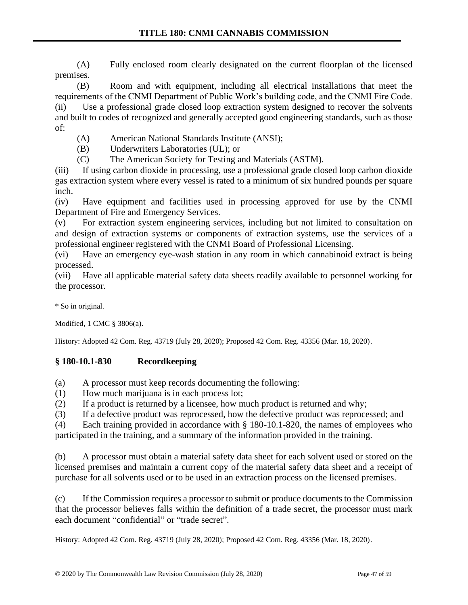(A) Fully enclosed room clearly designated on the current floorplan of the licensed premises.

(B) Room and with equipment, including all electrical installations that meet the requirements of the CNMI Department of Public Work's building code, and the CNMI Fire Code. (ii) Use a professional grade closed loop extraction system designed to recover the solvents and built to codes of recognized and generally accepted good engineering standards, such as those of:

- (A) American National Standards Institute (ANSI);
- (B) Underwriters Laboratories (UL); or
- (C) The American Society for Testing and Materials (ASTM).

(iii) If using carbon dioxide in processing, use a professional grade closed loop carbon dioxide gas extraction system where every vessel is rated to a minimum of six hundred pounds per square inch.

(iv) Have equipment and facilities used in processing approved for use by the CNMI Department of Fire and Emergency Services.

(v) For extraction system engineering services, including but not limited to consultation on and design of extraction systems or components of extraction systems, use the services of a professional engineer registered with the CNMI Board of Professional Licensing.

(vi) Have an emergency eye-wash station in any room in which cannabinoid extract is being processed.

(vii) Have all applicable material safety data sheets readily available to personnel working for the processor.

\* So in original.

Modified, 1 CMC § 3806(a).

History: Adopted 42 Com. Reg. 43719 (July 28, 2020); Proposed 42 Com. Reg. 43356 (Mar. 18, 2020).

# **§ 180-10.1-830 Recordkeeping**

(a) A processor must keep records documenting the following:

- (1) How much marijuana is in each process lot;
- (2) If a product is returned by a licensee, how much product is returned and why;

(3) If a defective product was reprocessed, how the defective product was reprocessed; and

(4) Each training provided in accordance with § 180-10.1-820, the names of employees who participated in the training, and a summary of the information provided in the training.

(b) A processor must obtain a material safety data sheet for each solvent used or stored on the licensed premises and maintain a current copy of the material safety data sheet and a receipt of purchase for all solvents used or to be used in an extraction process on the licensed premises.

(c) If the Commission requires a processor to submit or produce documents to the Commission that the processor believes falls within the definition of a trade secret, the processor must mark each document "confidential" or "trade secret".

History: Adopted 42 Com. Reg. 43719 (July 28, 2020); Proposed 42 Com. Reg. 43356 (Mar. 18, 2020).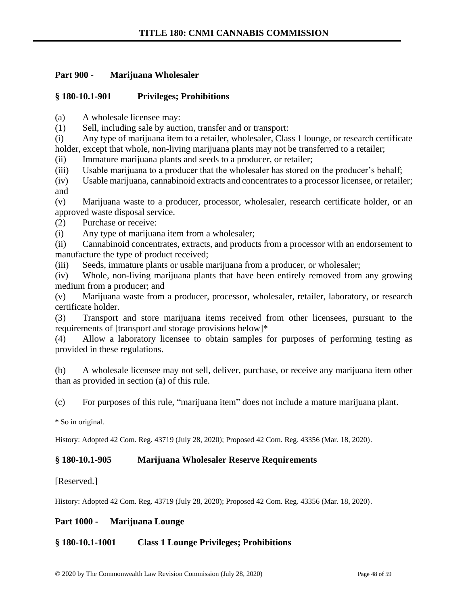## **Part 900 - Marijuana Wholesaler**

# **§ 180-10.1-901 Privileges; Prohibitions**

(a) A wholesale licensee may:

(1) Sell, including sale by auction, transfer and or transport:

(i) Any type of marijuana item to a retailer, wholesaler, Class 1 lounge, or research certificate holder, except that whole, non-living marijuana plants may not be transferred to a retailer;

(ii) Immature marijuana plants and seeds to a producer, or retailer;

(iii) Usable marijuana to a producer that the wholesaler has stored on the producer's behalf;

(iv) Usable marijuana, cannabinoid extracts and concentrates to a processor licensee, or retailer; and

(v) Marijuana waste to a producer, processor, wholesaler, research certificate holder, or an approved waste disposal service.

(2) Purchase or receive:

(i) Any type of marijuana item from a wholesaler;

(ii) Cannabinoid concentrates, extracts, and products from a processor with an endorsement to manufacture the type of product received;

(iii) Seeds, immature plants or usable marijuana from a producer, or wholesaler;

(iv) Whole, non-living marijuana plants that have been entirely removed from any growing medium from a producer; and

(v) Marijuana waste from a producer, processor, wholesaler, retailer, laboratory, or research certificate holder.

(3) Transport and store marijuana items received from other licensees, pursuant to the requirements of [transport and storage provisions below]\*

(4) Allow a laboratory licensee to obtain samples for purposes of performing testing as provided in these regulations.

(b) A wholesale licensee may not sell, deliver, purchase, or receive any marijuana item other than as provided in section (a) of this rule.

(c) For purposes of this rule, "marijuana item" does not include a mature marijuana plant.

\* So in original.

History: Adopted 42 Com. Reg. 43719 (July 28, 2020); Proposed 42 Com. Reg. 43356 (Mar. 18, 2020).

### **§ 180-10.1-905 Marijuana Wholesaler Reserve Requirements**

[Reserved.]

History: Adopted 42 Com. Reg. 43719 (July 28, 2020); Proposed 42 Com. Reg. 43356 (Mar. 18, 2020).

### **Part 1000 - Marijuana Lounge**

### **§ 180-10.1-1001 Class 1 Lounge Privileges; Prohibitions**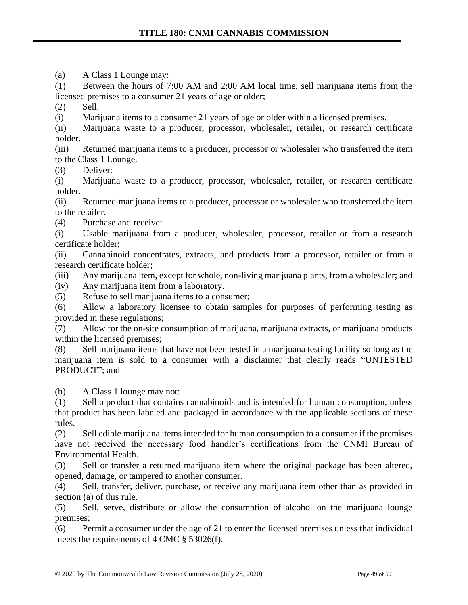(a) A Class 1 Lounge may:

(1) Between the hours of 7:00 AM and 2:00 AM local time, sell marijuana items from the licensed premises to a consumer 21 years of age or older;

(2) Sell:

(i) Marijuana items to a consumer 21 years of age or older within a licensed premises.

(ii) Marijuana waste to a producer, processor, wholesaler, retailer, or research certificate holder.

(iii) Returned marijuana items to a producer, processor or wholesaler who transferred the item to the Class 1 Lounge.

(3) Deliver:

(i) Marijuana waste to a producer, processor, wholesaler, retailer, or research certificate holder.

(ii) Returned marijuana items to a producer, processor or wholesaler who transferred the item to the retailer.

(4) Purchase and receive:

(i) Usable marijuana from a producer, wholesaler, processor, retailer or from a research certificate holder;

(ii) Cannabinoid concentrates, extracts, and products from a processor, retailer or from a research certificate holder;

(iii) Any marijuana item, except for whole, non-living marijuana plants, from a wholesaler; and

(iv) Any marijuana item from a laboratory.

(5) Refuse to sell marijuana items to a consumer;

(6) Allow a laboratory licensee to obtain samples for purposes of performing testing as provided in these regulations;

(7) Allow for the on-site consumption of marijuana, marijuana extracts, or marijuana products within the licensed premises;

(8) Sell marijuana items that have not been tested in a marijuana testing facility so long as the marijuana item is sold to a consumer with a disclaimer that clearly reads "UNTESTED PRODUCT"; and

(b) A Class 1 lounge may not:

(1) Sell a product that contains cannabinoids and is intended for human consumption, unless that product has been labeled and packaged in accordance with the applicable sections of these rules.

(2) Sell edible marijuana items intended for human consumption to a consumer if the premises have not received the necessary food handler's certifications from the CNMI Bureau of Environmental Health.

(3) Sell or transfer a returned marijuana item where the original package has been altered, opened, damage, or tampered to another consumer.

(4) Sell, transfer, deliver, purchase, or receive any marijuana item other than as provided in section (a) of this rule.

(5) Sell, serve, distribute or allow the consumption of alcohol on the marijuana lounge premises;

(6) Permit a consumer under the age of 21 to enter the licensed premises unless that individual meets the requirements of 4 CMC § 53026(f).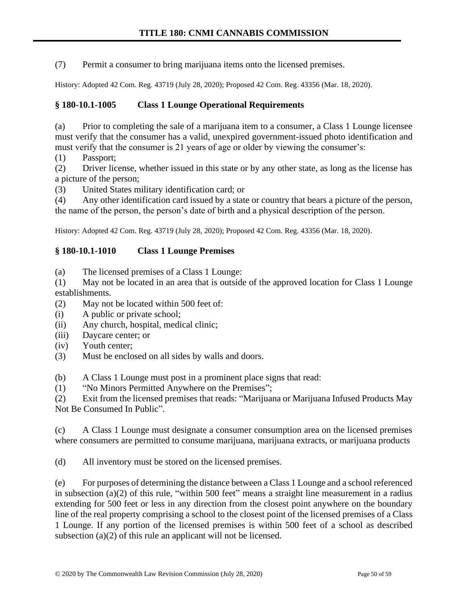(7) Permit a consumer to bring marijuana items onto the licensed premises.

History: Adopted 42 Com. Reg. 43719 (July 28, 2020); Proposed 42 Com. Reg. 43356 (Mar. 18, 2020).

# **§ 180-10.1-1005 Class 1 Lounge Operational Requirements**

(a) Prior to completing the sale of a marijuana item to a consumer, a Class 1 Lounge licensee must verify that the consumer has a valid, unexpired government-issued photo identification and must verify that the consumer is 21 years of age or older by viewing the consumer's:

(1) Passport;

(2) Driver license, whether issued in this state or by any other state, as long as the license has a picture of the person;

(3) United States military identification card; or

(4) Any other identification card issued by a state or country that bears a picture of the person, the name of the person, the person's date of birth and a physical description of the person.

History: Adopted 42 Com. Reg. 43719 (July 28, 2020); Proposed 42 Com. Reg. 43356 (Mar. 18, 2020).

# **§ 180-10.1-1010 Class 1 Lounge Premises**

(a) The licensed premises of a Class 1 Lounge:

(1) May not be located in an area that is outside of the approved location for Class 1 Lounge establishments.

(2) May not be located within 500 feet of:

- (i) A public or private school;
- (ii) Any church, hospital, medical clinic;
- (iii) Daycare center; or
- (iv) Youth center;
- (3) Must be enclosed on all sides by walls and doors.

(b) A Class 1 Lounge must post in a prominent place signs that read:

(1) "No Minors Permitted Anywhere on the Premises";

(2) Exit from the licensed premises that reads: "Marijuana or Marijuana Infused Products May Not Be Consumed In Public".

(c) A Class 1 Lounge must designate a consumer consumption area on the licensed premises where consumers are permitted to consume marijuana, marijuana extracts, or marijuana products

(d) All inventory must be stored on the licensed premises.

(e) For purposes of determining the distance between a Class 1 Lounge and a school referenced in subsection (a)(2) of this rule, "within 500 feet" means a straight line measurement in a radius extending for 500 feet or less in any direction from the closest point anywhere on the boundary line of the real property comprising a school to the closest point of the licensed premises of a Class 1 Lounge. If any portion of the licensed premises is within 500 feet of a school as described subsection (a)(2) of this rule an applicant will not be licensed.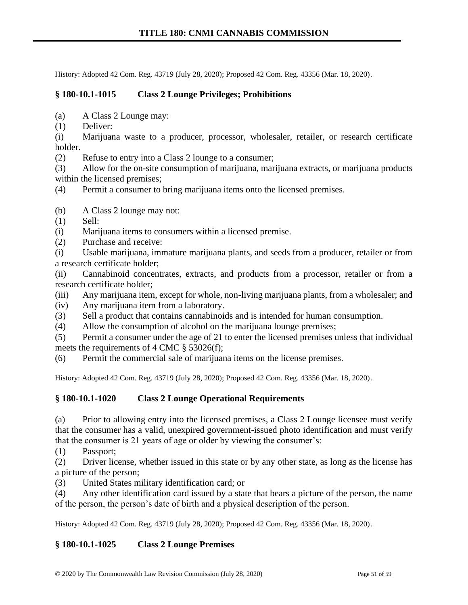History: Adopted 42 Com. Reg. 43719 (July 28, 2020); Proposed 42 Com. Reg. 43356 (Mar. 18, 2020).

### **§ 180-10.1-1015 Class 2 Lounge Privileges; Prohibitions**

- (a) A Class 2 Lounge may:
- (1) Deliver:

(i) Marijuana waste to a producer, processor, wholesaler, retailer, or research certificate holder.

(2) Refuse to entry into a Class 2 lounge to a consumer;

(3) Allow for the on-site consumption of marijuana, marijuana extracts, or marijuana products within the licensed premises;

(4) Permit a consumer to bring marijuana items onto the licensed premises.

- (b) A Class 2 lounge may not:
- (1) Sell:
- (i) Marijuana items to consumers within a licensed premise.
- (2) Purchase and receive:
- (i) Usable marijuana, immature marijuana plants, and seeds from a producer, retailer or from a research certificate holder;

(ii) Cannabinoid concentrates, extracts, and products from a processor, retailer or from a research certificate holder;

- (iii) Any marijuana item, except for whole, non-living marijuana plants, from a wholesaler; and
- (iv) Any marijuana item from a laboratory.
- (3) Sell a product that contains cannabinoids and is intended for human consumption.
- (4) Allow the consumption of alcohol on the marijuana lounge premises;

(5) Permit a consumer under the age of 21 to enter the licensed premises unless that individual meets the requirements of 4 CMC § 53026(f);

(6) Permit the commercial sale of marijuana items on the license premises.

History: Adopted 42 Com. Reg. 43719 (July 28, 2020); Proposed 42 Com. Reg. 43356 (Mar. 18, 2020).

#### **§ 180-10.1-1020 Class 2 Lounge Operational Requirements**

(a) Prior to allowing entry into the licensed premises, a Class 2 Lounge licensee must verify that the consumer has a valid, unexpired government-issued photo identification and must verify that the consumer is 21 years of age or older by viewing the consumer's:

(1) Passport;

(2) Driver license, whether issued in this state or by any other state, as long as the license has a picture of the person;

(3) United States military identification card; or

(4) Any other identification card issued by a state that bears a picture of the person, the name of the person, the person's date of birth and a physical description of the person.

History: Adopted 42 Com. Reg. 43719 (July 28, 2020); Proposed 42 Com. Reg. 43356 (Mar. 18, 2020).

#### **§ 180-10.1-1025 Class 2 Lounge Premises**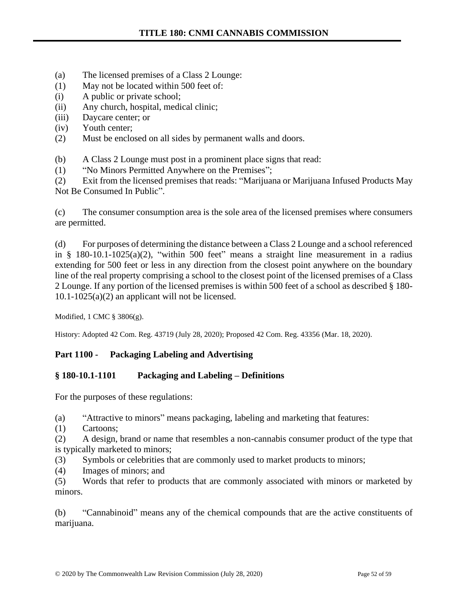- (a) The licensed premises of a Class 2 Lounge:
- (1) May not be located within 500 feet of:
- (i) A public or private school;
- (ii) Any church, hospital, medical clinic;
- (iii) Daycare center; or
- (iv) Youth center;
- (2) Must be enclosed on all sides by permanent walls and doors.
- (b) A Class 2 Lounge must post in a prominent place signs that read:
- (1) "No Minors Permitted Anywhere on the Premises";

(2) Exit from the licensed premises that reads: "Marijuana or Marijuana Infused Products May Not Be Consumed In Public".

(c) The consumer consumption area is the sole area of the licensed premises where consumers are permitted.

(d) For purposes of determining the distance between a Class 2 Lounge and a school referenced in § 180-10.1-1025(a)(2), "within 500 feet" means a straight line measurement in a radius extending for 500 feet or less in any direction from the closest point anywhere on the boundary line of the real property comprising a school to the closest point of the licensed premises of a Class 2 Lounge. If any portion of the licensed premises is within 500 feet of a school as described § 180-  $10.1 - 1025(a)(2)$  an applicant will not be licensed.

Modified, 1 CMC § 3806(g).

History: Adopted 42 Com. Reg. 43719 (July 28, 2020); Proposed 42 Com. Reg. 43356 (Mar. 18, 2020).

### **Part 1100 - Packaging Labeling and Advertising**

### **§ 180-10.1-1101 Packaging and Labeling – Definitions**

For the purposes of these regulations:

(a) "Attractive to minors" means packaging, labeling and marketing that features:

(1) Cartoons;

(2) A design, brand or name that resembles a non-cannabis consumer product of the type that is typically marketed to minors;

(3) Symbols or celebrities that are commonly used to market products to minors;

(4) Images of minors; and

(5) Words that refer to products that are commonly associated with minors or marketed by minors.

(b) "Cannabinoid" means any of the chemical compounds that are the active constituents of marijuana.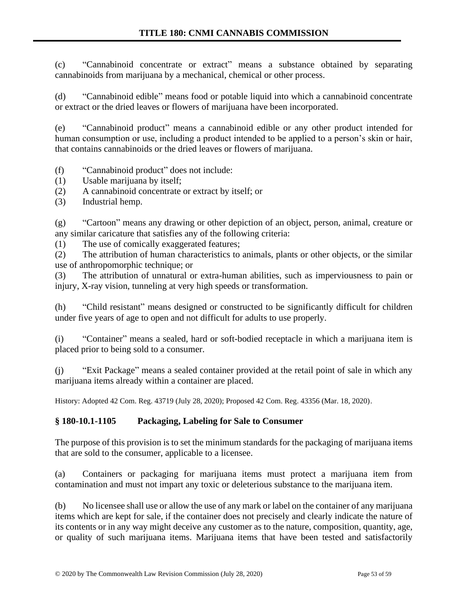(c) "Cannabinoid concentrate or extract" means a substance obtained by separating cannabinoids from marijuana by a mechanical, chemical or other process.

(d) "Cannabinoid edible" means food or potable liquid into which a cannabinoid concentrate or extract or the dried leaves or flowers of marijuana have been incorporated.

(e) "Cannabinoid product" means a cannabinoid edible or any other product intended for human consumption or use, including a product intended to be applied to a person's skin or hair, that contains cannabinoids or the dried leaves or flowers of marijuana.

(f) "Cannabinoid product" does not include:

(1) Usable marijuana by itself;

(2) A cannabinoid concentrate or extract by itself; or

(3) Industrial hemp.

(g) "Cartoon" means any drawing or other depiction of an object, person, animal, creature or any similar caricature that satisfies any of the following criteria:

(1) The use of comically exaggerated features;

(2) The attribution of human characteristics to animals, plants or other objects, or the similar use of anthropomorphic technique; or

(3) The attribution of unnatural or extra-human abilities, such as imperviousness to pain or injury, X-ray vision, tunneling at very high speeds or transformation.

(h) "Child resistant" means designed or constructed to be significantly difficult for children under five years of age to open and not difficult for adults to use properly.

(i) "Container" means a sealed, hard or soft-bodied receptacle in which a marijuana item is placed prior to being sold to a consumer.

(j) "Exit Package" means a sealed container provided at the retail point of sale in which any marijuana items already within a container are placed.

History: Adopted 42 Com. Reg. 43719 (July 28, 2020); Proposed 42 Com. Reg. 43356 (Mar. 18, 2020).

# **§ 180-10.1-1105 Packaging, Labeling for Sale to Consumer**

The purpose of this provision is to set the minimum standards for the packaging of marijuana items that are sold to the consumer, applicable to a licensee.

(a) Containers or packaging for marijuana items must protect a marijuana item from contamination and must not impart any toxic or deleterious substance to the marijuana item.

(b) No licensee shall use or allow the use of any mark or label on the container of any marijuana items which are kept for sale, if the container does not precisely and clearly indicate the nature of its contents or in any way might deceive any customer as to the nature, composition, quantity, age, or quality of such marijuana items. Marijuana items that have been tested and satisfactorily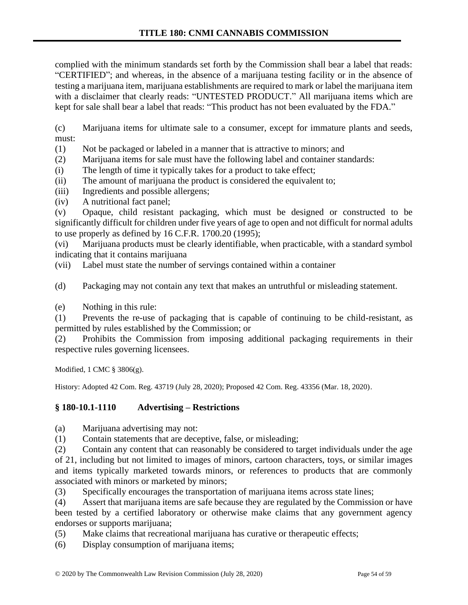complied with the minimum standards set forth by the Commission shall bear a label that reads: "CERTIFIED"; and whereas, in the absence of a marijuana testing facility or in the absence of testing a marijuana item, marijuana establishments are required to mark or label the marijuana item with a disclaimer that clearly reads: "UNTESTED PRODUCT." All marijuana items which are kept for sale shall bear a label that reads: "This product has not been evaluated by the FDA."

(c) Marijuana items for ultimate sale to a consumer, except for immature plants and seeds, must:

(1) Not be packaged or labeled in a manner that is attractive to minors; and

(2) Marijuana items for sale must have the following label and container standards:

(i) The length of time it typically takes for a product to take effect;

(ii) The amount of marijuana the product is considered the equivalent to;

(iii) Ingredients and possible allergens;

(iv) A nutritional fact panel;

(v) Opaque, child resistant packaging, which must be designed or constructed to be significantly difficult for children under five years of age to open and not difficult for normal adults to use properly as defined by 16 C.F.R. 1700.20 (1995);

(vi) Marijuana products must be clearly identifiable, when practicable, with a standard symbol indicating that it contains marijuana

(vii) Label must state the number of servings contained within a container

(d) Packaging may not contain any text that makes an untruthful or misleading statement.

(e) Nothing in this rule:

(1) Prevents the re-use of packaging that is capable of continuing to be child-resistant, as permitted by rules established by the Commission; or

(2) Prohibits the Commission from imposing additional packaging requirements in their respective rules governing licensees.

Modified, 1 CMC § 3806(g).

History: Adopted 42 Com. Reg. 43719 (July 28, 2020); Proposed 42 Com. Reg. 43356 (Mar. 18, 2020).

### **§ 180-10.1-1110 Advertising – Restrictions**

(a) Marijuana advertising may not:

(1) Contain statements that are deceptive, false, or misleading;

(2) Contain any content that can reasonably be considered to target individuals under the age of 21, including but not limited to images of minors, cartoon characters, toys, or similar images and items typically marketed towards minors, or references to products that are commonly associated with minors or marketed by minors;

(3) Specifically encourages the transportation of marijuana items across state lines;

(4) Assert that marijuana items are safe because they are regulated by the Commission or have been tested by a certified laboratory or otherwise make claims that any government agency endorses or supports marijuana;

(5) Make claims that recreational marijuana has curative or therapeutic effects;

(6) Display consumption of marijuana items;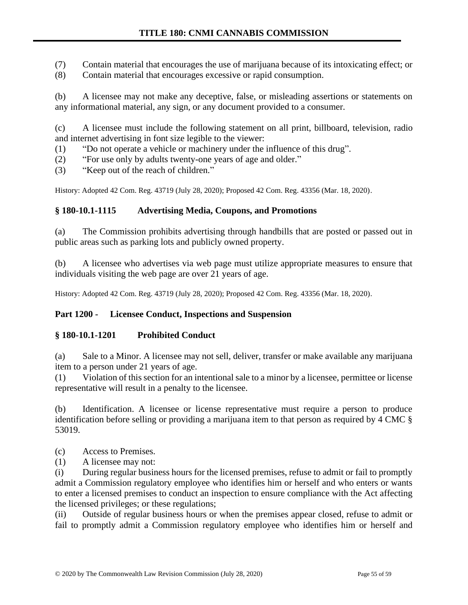(7) Contain material that encourages the use of marijuana because of its intoxicating effect; or

(8) Contain material that encourages excessive or rapid consumption.

(b) A licensee may not make any deceptive, false, or misleading assertions or statements on any informational material, any sign, or any document provided to a consumer.

(c) A licensee must include the following statement on all print, billboard, television, radio and internet advertising in font size legible to the viewer:

- (1) "Do not operate a vehicle or machinery under the influence of this drug".
- (2) "For use only by adults twenty-one years of age and older."
- (3) "Keep out of the reach of children."

History: Adopted 42 Com. Reg. 43719 (July 28, 2020); Proposed 42 Com. Reg. 43356 (Mar. 18, 2020).

# **§ 180-10.1-1115 Advertising Media, Coupons, and Promotions**

(a) The Commission prohibits advertising through handbills that are posted or passed out in public areas such as parking lots and publicly owned property.

(b) A licensee who advertises via web page must utilize appropriate measures to ensure that individuals visiting the web page are over 21 years of age.

History: Adopted 42 Com. Reg. 43719 (July 28, 2020); Proposed 42 Com. Reg. 43356 (Mar. 18, 2020).

### **Part 1200 - Licensee Conduct, Inspections and Suspension**

### **§ 180-10.1-1201 Prohibited Conduct**

(a) Sale to a Minor. A licensee may not sell, deliver, transfer or make available any marijuana item to a person under 21 years of age.

(1) Violation of this section for an intentional sale to a minor by a licensee, permittee or license representative will result in a penalty to the licensee.

(b) Identification. A licensee or license representative must require a person to produce identification before selling or providing a marijuana item to that person as required by 4 CMC § 53019.

- (c) Access to Premises.
- (1) A licensee may not:

(i) During regular business hours for the licensed premises, refuse to admit or fail to promptly admit a Commission regulatory employee who identifies him or herself and who enters or wants to enter a licensed premises to conduct an inspection to ensure compliance with the Act affecting the licensed privileges; or these regulations;

(ii) Outside of regular business hours or when the premises appear closed, refuse to admit or fail to promptly admit a Commission regulatory employee who identifies him or herself and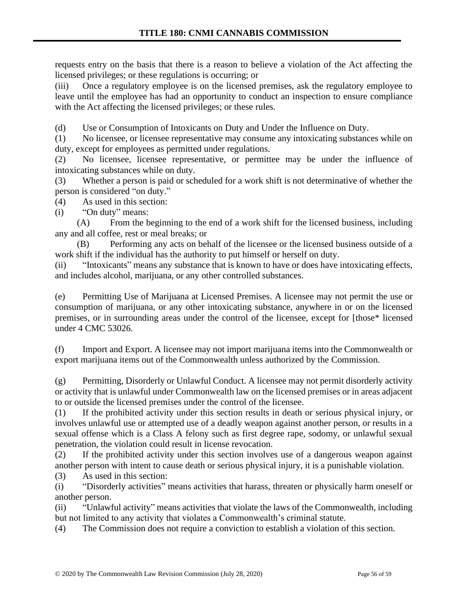requests entry on the basis that there is a reason to believe a violation of the Act affecting the licensed privileges; or these regulations is occurring; or

(iii) Once a regulatory employee is on the licensed premises, ask the regulatory employee to leave until the employee has had an opportunity to conduct an inspection to ensure compliance with the Act affecting the licensed privileges; or these rules.

(d) Use or Consumption of Intoxicants on Duty and Under the Influence on Duty.

(1) No licensee, or licensee representative may consume any intoxicating substances while on duty, except for employees as permitted under regulations.

(2) No licensee, licensee representative, or permittee may be under the influence of intoxicating substances while on duty.

(3) Whether a person is paid or scheduled for a work shift is not determinative of whether the person is considered "on duty."

(4) As used in this section:

(i) "On duty" means:

(A) From the beginning to the end of a work shift for the licensed business, including any and all coffee, rest or meal breaks; or

(B) Performing any acts on behalf of the licensee or the licensed business outside of a work shift if the individual has the authority to put himself or herself on duty.

(ii) "Intoxicants" means any substance that is known to have or does have intoxicating effects, and includes alcohol, marijuana, or any other controlled substances.

(e) Permitting Use of Marijuana at Licensed Premises. A licensee may not permit the use or consumption of marijuana, or any other intoxicating substance, anywhere in or on the licensed premises, or in surrounding areas under the control of the licensee, except for [those\* licensed under 4 CMC 53026.

(f) Import and Export. A licensee may not import marijuana items into the Commonwealth or export marijuana items out of the Commonwealth unless authorized by the Commission.

(g) Permitting, Disorderly or Unlawful Conduct. A licensee may not permit disorderly activity or activity that is unlawful under Commonwealth law on the licensed premises or in areas adjacent to or outside the licensed premises under the control of the licensee.

(1) If the prohibited activity under this section results in death or serious physical injury, or involves unlawful use or attempted use of a deadly weapon against another person, or results in a sexual offense which is a Class A felony such as first degree rape, sodomy, or unlawful sexual penetration, the violation could result in license revocation.

(2) If the prohibited activity under this section involves use of a dangerous weapon against another person with intent to cause death or serious physical injury, it is a punishable violation.

(3) As used in this section:

(i) "Disorderly activities" means activities that harass, threaten or physically harm oneself or another person.

(ii) "Unlawful activity" means activities that violate the laws of the Commonwealth, including but not limited to any activity that violates a Commonwealth's criminal statute.

(4) The Commission does not require a conviction to establish a violation of this section.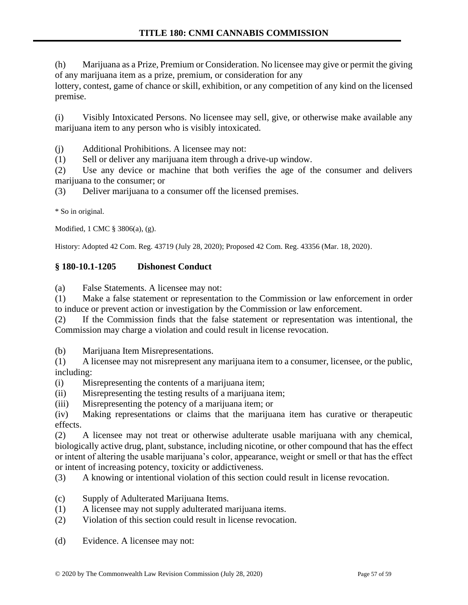(h) Marijuana as a Prize, Premium or Consideration. No licensee may give or permit the giving of any marijuana item as a prize, premium, or consideration for any lottery, contest, game of chance or skill, exhibition, or any competition of any kind on the licensed premise.

(i) Visibly Intoxicated Persons. No licensee may sell, give, or otherwise make available any marijuana item to any person who is visibly intoxicated.

(j) Additional Prohibitions. A licensee may not:

(1) Sell or deliver any marijuana item through a drive-up window.

(2) Use any device or machine that both verifies the age of the consumer and delivers marijuana to the consumer; or

(3) Deliver marijuana to a consumer off the licensed premises.

\* So in original.

Modified, 1 CMC § 3806(a), (g).

History: Adopted 42 Com. Reg. 43719 (July 28, 2020); Proposed 42 Com. Reg. 43356 (Mar. 18, 2020).

# **§ 180-10.1-1205 Dishonest Conduct**

(a) False Statements. A licensee may not:

(1) Make a false statement or representation to the Commission or law enforcement in order to induce or prevent action or investigation by the Commission or law enforcement.

(2) If the Commission finds that the false statement or representation was intentional, the Commission may charge a violation and could result in license revocation.

(b) Marijuana Item Misrepresentations.

(1) A licensee may not misrepresent any marijuana item to a consumer, licensee, or the public, including:

- (i) Misrepresenting the contents of a marijuana item;
- (ii) Misrepresenting the testing results of a marijuana item;
- (iii) Misrepresenting the potency of a marijuana item; or

(iv) Making representations or claims that the marijuana item has curative or therapeutic effects.

(2) A licensee may not treat or otherwise adulterate usable marijuana with any chemical, biologically active drug, plant, substance, including nicotine, or other compound that has the effect or intent of altering the usable marijuana's color, appearance, weight or smell or that has the effect or intent of increasing potency, toxicity or addictiveness.

(3) A knowing or intentional violation of this section could result in license revocation.

- (c) Supply of Adulterated Marijuana Items.
- (1) A licensee may not supply adulterated marijuana items.
- (2) Violation of this section could result in license revocation.
- (d) Evidence. A licensee may not: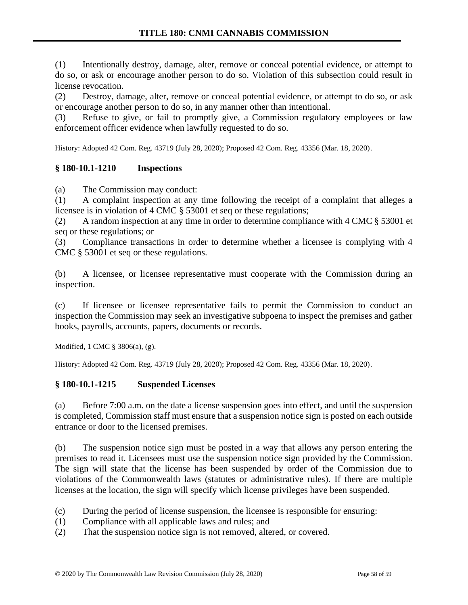(1) Intentionally destroy, damage, alter, remove or conceal potential evidence, or attempt to do so, or ask or encourage another person to do so. Violation of this subsection could result in license revocation.

(2) Destroy, damage, alter, remove or conceal potential evidence, or attempt to do so, or ask or encourage another person to do so, in any manner other than intentional.

(3) Refuse to give, or fail to promptly give, a Commission regulatory employees or law enforcement officer evidence when lawfully requested to do so.

History: Adopted 42 Com. Reg. 43719 (July 28, 2020); Proposed 42 Com. Reg. 43356 (Mar. 18, 2020).

# **§ 180-10.1-1210 Inspections**

(a) The Commission may conduct:

(1) A complaint inspection at any time following the receipt of a complaint that alleges a licensee is in violation of 4 CMC § 53001 et seq or these regulations;

(2) A random inspection at any time in order to determine compliance with 4 CMC § 53001 et seq or these regulations; or

(3) Compliance transactions in order to determine whether a licensee is complying with 4 CMC § 53001 et seq or these regulations.

(b) A licensee, or licensee representative must cooperate with the Commission during an inspection.

(c) If licensee or licensee representative fails to permit the Commission to conduct an inspection the Commission may seek an investigative subpoena to inspect the premises and gather books, payrolls, accounts, papers, documents or records.

Modified, 1 CMC § 3806(a), (g).

History: Adopted 42 Com. Reg. 43719 (July 28, 2020); Proposed 42 Com. Reg. 43356 (Mar. 18, 2020).

### **§ 180-10.1-1215 Suspended Licenses**

(a) Before 7:00 a.m. on the date a license suspension goes into effect, and until the suspension is completed, Commission staff must ensure that a suspension notice sign is posted on each outside entrance or door to the licensed premises.

(b) The suspension notice sign must be posted in a way that allows any person entering the premises to read it. Licensees must use the suspension notice sign provided by the Commission. The sign will state that the license has been suspended by order of the Commission due to violations of the Commonwealth laws (statutes or administrative rules). If there are multiple licenses at the location, the sign will specify which license privileges have been suspended.

- (c) During the period of license suspension, the licensee is responsible for ensuring:
- (1) Compliance with all applicable laws and rules; and
- (2) That the suspension notice sign is not removed, altered, or covered.